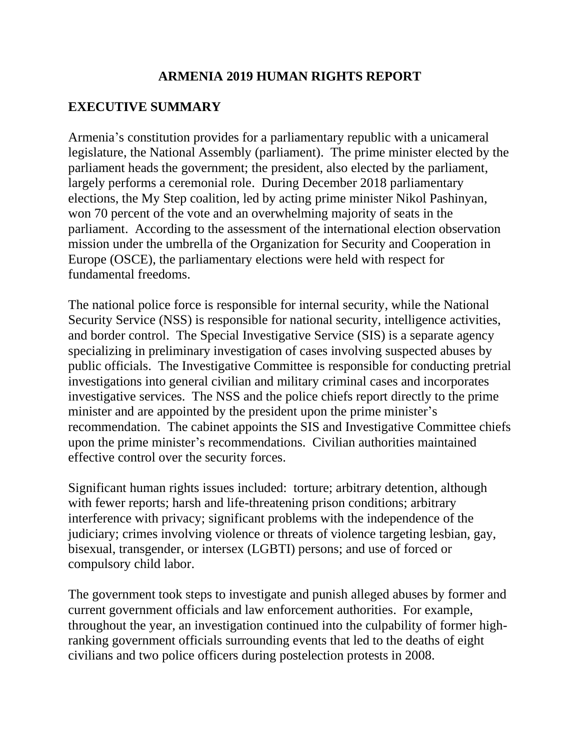### **ARMENIA 2019 HUMAN RIGHTS REPORT**

# **EXECUTIVE SUMMARY**

Armenia's constitution provides for a parliamentary republic with a unicameral legislature, the National Assembly (parliament). The prime minister elected by the parliament heads the government; the president, also elected by the parliament, largely performs a ceremonial role. During December 2018 parliamentary elections, the My Step coalition, led by acting prime minister Nikol Pashinyan, won 70 percent of the vote and an overwhelming majority of seats in the parliament. According to the assessment of the international election observation mission under the umbrella of the Organization for Security and Cooperation in Europe (OSCE), the parliamentary elections were held with respect for fundamental freedoms.

The national police force is responsible for internal security, while the National Security Service (NSS) is responsible for national security, intelligence activities, and border control. The Special Investigative Service (SIS) is a separate agency specializing in preliminary investigation of cases involving suspected abuses by public officials. The Investigative Committee is responsible for conducting pretrial investigations into general civilian and military criminal cases and incorporates investigative services. The NSS and the police chiefs report directly to the prime minister and are appointed by the president upon the prime minister's recommendation. The cabinet appoints the SIS and Investigative Committee chiefs upon the prime minister's recommendations. Civilian authorities maintained effective control over the security forces.

Significant human rights issues included: torture; arbitrary detention, although with fewer reports; harsh and life-threatening prison conditions; arbitrary interference with privacy; significant problems with the independence of the judiciary; crimes involving violence or threats of violence targeting lesbian, gay, bisexual, transgender, or intersex (LGBTI) persons; and use of forced or compulsory child labor.

The government took steps to investigate and punish alleged abuses by former and current government officials and law enforcement authorities. For example, throughout the year, an investigation continued into the culpability of former highranking government officials surrounding events that led to the deaths of eight civilians and two police officers during postelection protests in 2008.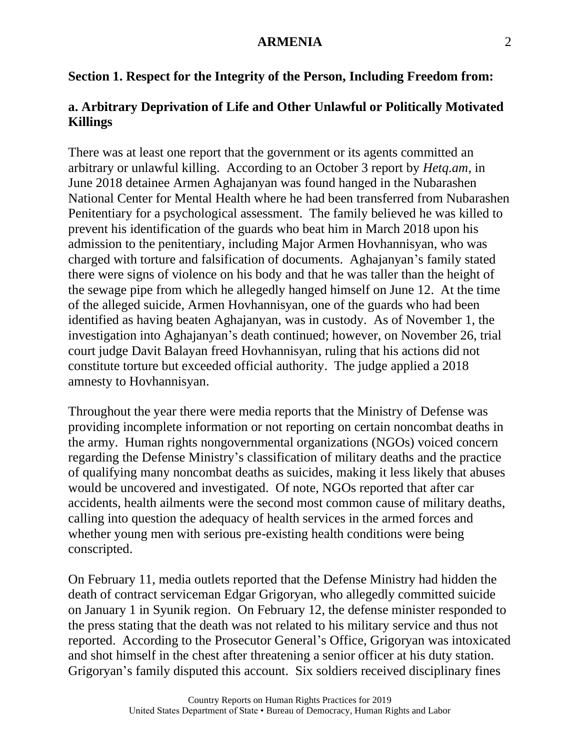#### **Section 1. Respect for the Integrity of the Person, Including Freedom from:**

### **a. Arbitrary Deprivation of Life and Other Unlawful or Politically Motivated Killings**

There was at least one report that the government or its agents committed an arbitrary or unlawful killing. According to an October 3 report by *Hetq.am*, in June 2018 detainee Armen Aghajanyan was found hanged in the Nubarashen National Center for Mental Health where he had been transferred from Nubarashen Penitentiary for a psychological assessment. The family believed he was killed to prevent his identification of the guards who beat him in March 2018 upon his admission to the penitentiary, including Major Armen Hovhannisyan, who was charged with torture and falsification of documents. Aghajanyan's family stated there were signs of violence on his body and that he was taller than the height of the sewage pipe from which he allegedly hanged himself on June 12. At the time of the alleged suicide, Armen Hovhannisyan, one of the guards who had been identified as having beaten Aghajanyan, was in custody. As of November 1, the investigation into Aghajanyan's death continued; however, on November 26, trial court judge Davit Balayan freed Hovhannisyan, ruling that his actions did not constitute torture but exceeded official authority. The judge applied a 2018 amnesty to Hovhannisyan.

Throughout the year there were media reports that the Ministry of Defense was providing incomplete information or not reporting on certain noncombat deaths in the army. Human rights nongovernmental organizations (NGOs) voiced concern regarding the Defense Ministry's classification of military deaths and the practice of qualifying many noncombat deaths as suicides, making it less likely that abuses would be uncovered and investigated. Of note, NGOs reported that after car accidents, health ailments were the second most common cause of military deaths, calling into question the adequacy of health services in the armed forces and whether young men with serious pre-existing health conditions were being conscripted.

On February 11, media outlets reported that the Defense Ministry had hidden the death of contract serviceman Edgar Grigoryan, who allegedly committed suicide on January 1 in Syunik region. On February 12, the defense minister responded to the press stating that the death was not related to his military service and thus not reported. According to the Prosecutor General's Office, Grigoryan was intoxicated and shot himself in the chest after threatening a senior officer at his duty station. Grigoryan's family disputed this account. Six soldiers received disciplinary fines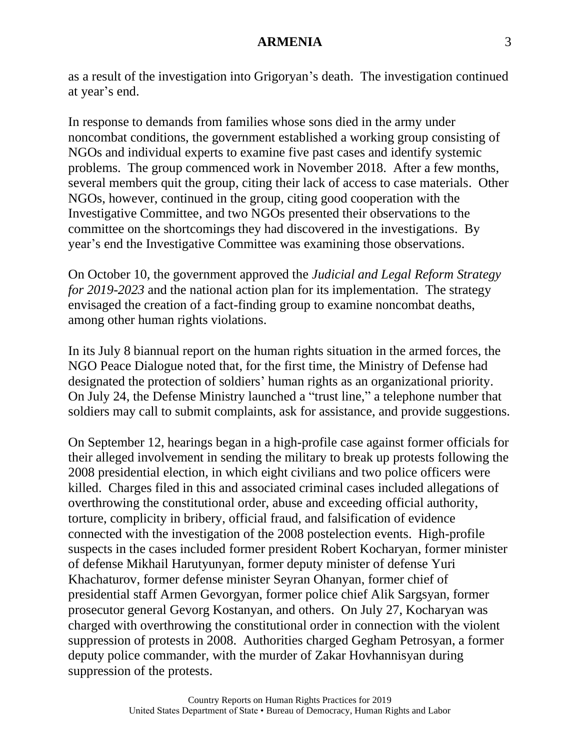as a result of the investigation into Grigoryan's death. The investigation continued at year's end.

In response to demands from families whose sons died in the army under noncombat conditions, the government established a working group consisting of NGOs and individual experts to examine five past cases and identify systemic problems. The group commenced work in November 2018. After a few months, several members quit the group, citing their lack of access to case materials. Other NGOs, however, continued in the group, citing good cooperation with the Investigative Committee, and two NGOs presented their observations to the committee on the shortcomings they had discovered in the investigations. By year's end the Investigative Committee was examining those observations.

On October 10, the government approved the *Judicial and Legal Reform Strategy for 2019-2023* and the national action plan for its implementation. The strategy envisaged the creation of a fact-finding group to examine noncombat deaths, among other human rights violations.

In its July 8 biannual report on the human rights situation in the armed forces, the NGO Peace Dialogue noted that, for the first time, the Ministry of Defense had designated the protection of soldiers' human rights as an organizational priority. On July 24, the Defense Ministry launched a "trust line," a telephone number that soldiers may call to submit complaints, ask for assistance, and provide suggestions.

On September 12, hearings began in a high-profile case against former officials for their alleged involvement in sending the military to break up protests following the 2008 presidential election, in which eight civilians and two police officers were killed. Charges filed in this and associated criminal cases included allegations of overthrowing the constitutional order, abuse and exceeding official authority, torture, complicity in bribery, official fraud, and falsification of evidence connected with the investigation of the 2008 postelection events. High-profile suspects in the cases included former president Robert Kocharyan, former minister of defense Mikhail Harutyunyan, former deputy minister of defense Yuri Khachaturov, former defense minister Seyran Ohanyan, former chief of presidential staff Armen Gevorgyan, former police chief Alik Sargsyan, former prosecutor general Gevorg Kostanyan, and others. On July 27, Kocharyan was charged with overthrowing the constitutional order in connection with the violent suppression of protests in 2008. Authorities charged Gegham Petrosyan, a former deputy police commander, with the murder of Zakar Hovhannisyan during suppression of the protests.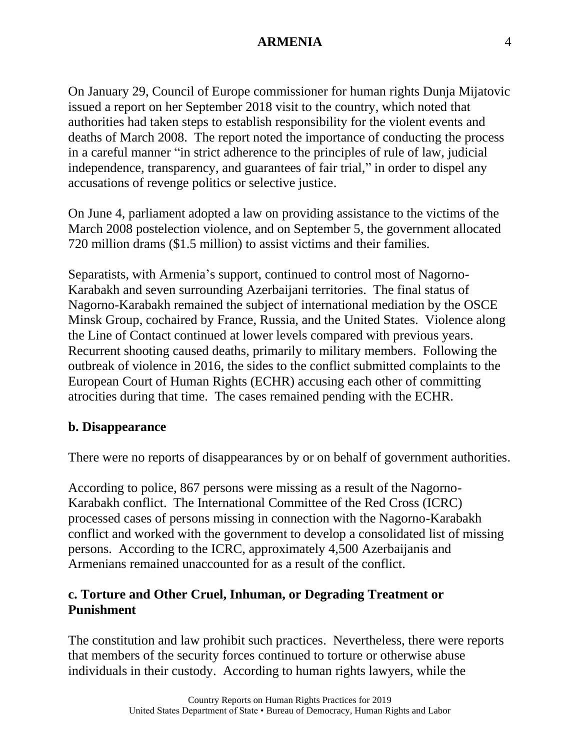On January 29, Council of Europe commissioner for human rights Dunja Mijatovic issued a report on her September 2018 visit to the country, which noted that authorities had taken steps to establish responsibility for the violent events and deaths of March 2008. The report noted the importance of conducting the process in a careful manner "in strict adherence to the principles of rule of law, judicial independence, transparency, and guarantees of fair trial," in order to dispel any accusations of revenge politics or selective justice.

On June 4, parliament adopted a law on providing assistance to the victims of the March 2008 postelection violence, and on September 5, the government allocated 720 million drams (\$1.5 million) to assist victims and their families.

Separatists, with Armenia's support, continued to control most of Nagorno-Karabakh and seven surrounding Azerbaijani territories. The final status of Nagorno-Karabakh remained the subject of international mediation by the OSCE Minsk Group, cochaired by France, Russia, and the United States. Violence along the Line of Contact continued at lower levels compared with previous years. Recurrent shooting caused deaths, primarily to military members. Following the outbreak of violence in 2016, the sides to the conflict submitted complaints to the European Court of Human Rights (ECHR) accusing each other of committing atrocities during that time. The cases remained pending with the ECHR.

#### **b. Disappearance**

There were no reports of disappearances by or on behalf of government authorities.

According to police, 867 persons were missing as a result of the Nagorno-Karabakh conflict. The International Committee of the Red Cross (ICRC) processed cases of persons missing in connection with the Nagorno-Karabakh conflict and worked with the government to develop a consolidated list of missing persons. According to the ICRC, approximately 4,500 Azerbaijanis and Armenians remained unaccounted for as a result of the conflict.

### **c. Torture and Other Cruel, Inhuman, or Degrading Treatment or Punishment**

The constitution and law prohibit such practices. Nevertheless, there were reports that members of the security forces continued to torture or otherwise abuse individuals in their custody. According to human rights lawyers, while the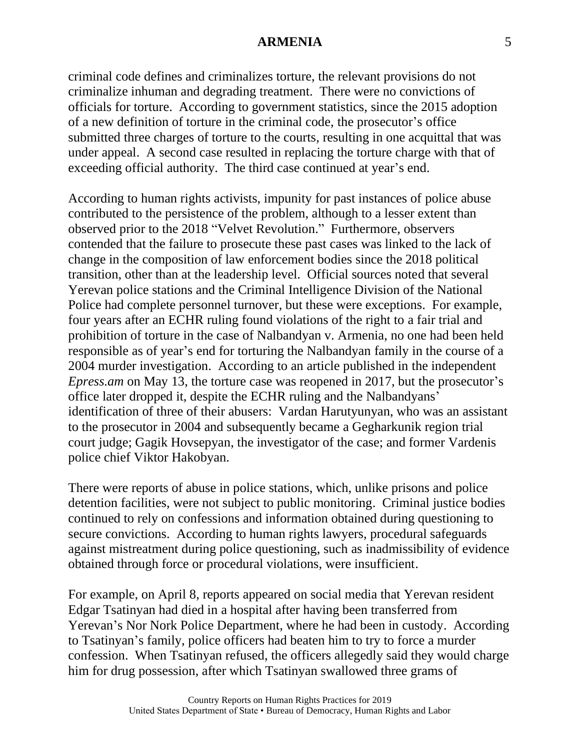criminal code defines and criminalizes torture, the relevant provisions do not criminalize inhuman and degrading treatment. There were no convictions of officials for torture. According to government statistics, since the 2015 adoption of a new definition of torture in the criminal code, the prosecutor's office submitted three charges of torture to the courts, resulting in one acquittal that was under appeal. A second case resulted in replacing the torture charge with that of exceeding official authority. The third case continued at year's end.

According to human rights activists, impunity for past instances of police abuse contributed to the persistence of the problem, although to a lesser extent than observed prior to the 2018 "Velvet Revolution." Furthermore, observers contended that the failure to prosecute these past cases was linked to the lack of change in the composition of law enforcement bodies since the 2018 political transition, other than at the leadership level. Official sources noted that several Yerevan police stations and the Criminal Intelligence Division of the National Police had complete personnel turnover, but these were exceptions. For example, four years after an ECHR ruling found violations of the right to a fair trial and prohibition of torture in the case of Nalbandyan v. Armenia, no one had been held responsible as of year's end for torturing the Nalbandyan family in the course of a 2004 murder investigation. According to an article published in the independent *Epress.am* on May 13, the torture case was reopened in 2017, but the prosecutor's office later dropped it, despite the ECHR ruling and the Nalbandyans' identification of three of their abusers: Vardan Harutyunyan, who was an assistant to the prosecutor in 2004 and subsequently became a Gegharkunik region trial court judge; Gagik Hovsepyan, the investigator of the case; and former Vardenis police chief Viktor Hakobyan.

There were reports of abuse in police stations, which, unlike prisons and police detention facilities, were not subject to public monitoring. Criminal justice bodies continued to rely on confessions and information obtained during questioning to secure convictions. According to human rights lawyers, procedural safeguards against mistreatment during police questioning, such as inadmissibility of evidence obtained through force or procedural violations, were insufficient.

For example, on April 8, reports appeared on social media that Yerevan resident Edgar Tsatinyan had died in a hospital after having been transferred from Yerevan's Nor Nork Police Department, where he had been in custody. According to Tsatinyan's family, police officers had beaten him to try to force a murder confession. When Tsatinyan refused, the officers allegedly said they would charge him for drug possession, after which Tsatinyan swallowed three grams of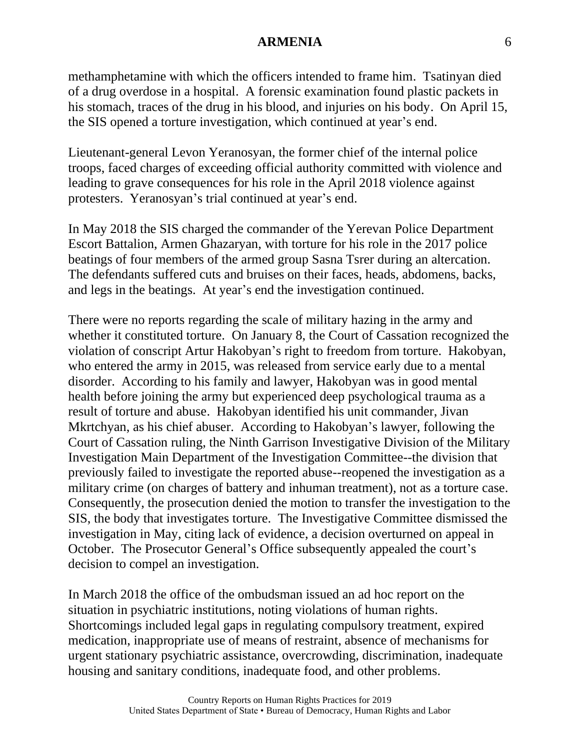methamphetamine with which the officers intended to frame him. Tsatinyan died of a drug overdose in a hospital. A forensic examination found plastic packets in his stomach, traces of the drug in his blood, and injuries on his body. On April 15, the SIS opened a torture investigation, which continued at year's end.

Lieutenant-general Levon Yeranosyan, the former chief of the internal police troops, faced charges of exceeding official authority committed with violence and leading to grave consequences for his role in the April 2018 violence against protesters. Yeranosyan's trial continued at year's end.

In May 2018 the SIS charged the commander of the Yerevan Police Department Escort Battalion, Armen Ghazaryan, with torture for his role in the 2017 police beatings of four members of the armed group Sasna Tsrer during an altercation. The defendants suffered cuts and bruises on their faces, heads, abdomens, backs, and legs in the beatings. At year's end the investigation continued.

There were no reports regarding the scale of military hazing in the army and whether it constituted torture. On January 8, the Court of Cassation recognized the violation of conscript Artur Hakobyan's right to freedom from torture. Hakobyan, who entered the army in 2015, was released from service early due to a mental disorder. According to his family and lawyer, Hakobyan was in good mental health before joining the army but experienced deep psychological trauma as a result of torture and abuse. Hakobyan identified his unit commander, Jivan Mkrtchyan, as his chief abuser. According to Hakobyan's lawyer, following the Court of Cassation ruling, the Ninth Garrison Investigative Division of the Military Investigation Main Department of the Investigation Committee--the division that previously failed to investigate the reported abuse--reopened the investigation as a military crime (on charges of battery and inhuman treatment), not as a torture case. Consequently, the prosecution denied the motion to transfer the investigation to the SIS, the body that investigates torture. The Investigative Committee dismissed the investigation in May, citing lack of evidence, a decision overturned on appeal in October. The Prosecutor General's Office subsequently appealed the court's decision to compel an investigation.

In March 2018 the office of the ombudsman issued an ad hoc report on the situation in psychiatric institutions, noting violations of human rights. Shortcomings included legal gaps in regulating compulsory treatment, expired medication, inappropriate use of means of restraint, absence of mechanisms for urgent stationary psychiatric assistance, overcrowding, discrimination, inadequate housing and sanitary conditions, inadequate food, and other problems.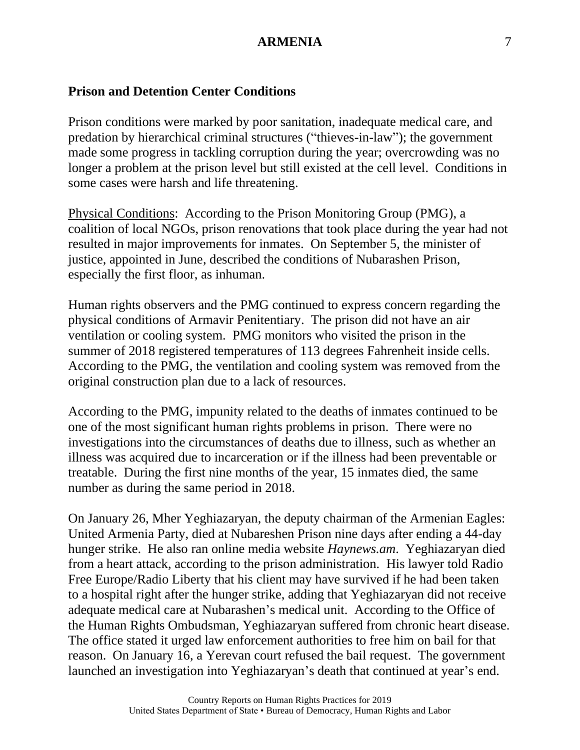## **Prison and Detention Center Conditions**

Prison conditions were marked by poor sanitation, inadequate medical care, and predation by hierarchical criminal structures ("thieves-in-law"); the government made some progress in tackling corruption during the year; overcrowding was no longer a problem at the prison level but still existed at the cell level. Conditions in some cases were harsh and life threatening.

Physical Conditions: According to the Prison Monitoring Group (PMG), a coalition of local NGOs, prison renovations that took place during the year had not resulted in major improvements for inmates. On September 5, the minister of justice, appointed in June, described the conditions of Nubarashen Prison, especially the first floor, as inhuman.

Human rights observers and the PMG continued to express concern regarding the physical conditions of Armavir Penitentiary. The prison did not have an air ventilation or cooling system. PMG monitors who visited the prison in the summer of 2018 registered temperatures of 113 degrees Fahrenheit inside cells. According to the PMG, the ventilation and cooling system was removed from the original construction plan due to a lack of resources.

According to the PMG, impunity related to the deaths of inmates continued to be one of the most significant human rights problems in prison. There were no investigations into the circumstances of deaths due to illness, such as whether an illness was acquired due to incarceration or if the illness had been preventable or treatable. During the first nine months of the year, 15 inmates died, the same number as during the same period in 2018.

On January 26, Mher Yeghiazaryan, the deputy chairman of the Armenian Eagles: United Armenia Party, died at Nubareshen Prison nine days after ending a 44-day hunger strike. He also ran online media website *Haynews.am*. Yeghiazaryan died from a heart attack, according to the prison administration. His lawyer told Radio Free Europe/Radio Liberty that his client may have survived if he had been taken to a hospital right after the hunger strike, adding that Yeghiazaryan did not receive adequate medical care at Nubarashen's medical unit. According to the Office of the Human Rights Ombudsman, Yeghiazaryan suffered from chronic heart disease. The office stated it urged law enforcement authorities to free him on bail for that reason. On January 16, a Yerevan court refused the bail request. The government launched an investigation into Yeghiazaryan's death that continued at year's end.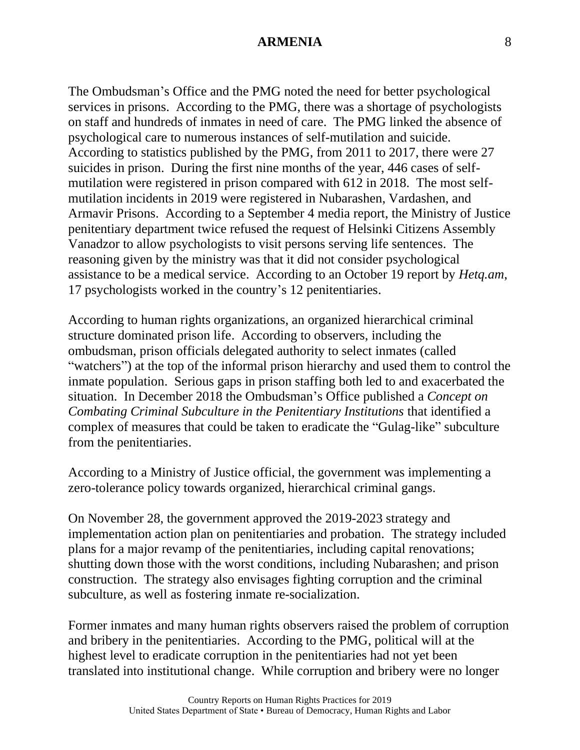The Ombudsman's Office and the PMG noted the need for better psychological services in prisons. According to the PMG, there was a shortage of psychologists on staff and hundreds of inmates in need of care. The PMG linked the absence of psychological care to numerous instances of self-mutilation and suicide. According to statistics published by the PMG, from 2011 to 2017, there were 27 suicides in prison. During the first nine months of the year, 446 cases of selfmutilation were registered in prison compared with 612 in 2018. The most selfmutilation incidents in 2019 were registered in Nubarashen, Vardashen, and Armavir Prisons. According to a September 4 media report, the Ministry of Justice penitentiary department twice refused the request of Helsinki Citizens Assembly Vanadzor to allow psychologists to visit persons serving life sentences. The reasoning given by the ministry was that it did not consider psychological assistance to be a medical service. According to an October 19 report by *Hetq.am*, 17 psychologists worked in the country's 12 penitentiaries.

According to human rights organizations, an organized hierarchical criminal structure dominated prison life. According to observers, including the ombudsman, prison officials delegated authority to select inmates (called "watchers") at the top of the informal prison hierarchy and used them to control the inmate population. Serious gaps in prison staffing both led to and exacerbated the situation. In December 2018 the Ombudsman's Office published a *Concept on Combating Criminal Subculture in the Penitentiary Institutions* that identified a complex of measures that could be taken to eradicate the "Gulag-like" subculture from the penitentiaries.

According to a Ministry of Justice official, the government was implementing a zero-tolerance policy towards organized, hierarchical criminal gangs.

On November 28, the government approved the 2019-2023 strategy and implementation action plan on penitentiaries and probation. The strategy included plans for a major revamp of the penitentiaries, including capital renovations; shutting down those with the worst conditions, including Nubarashen; and prison construction. The strategy also envisages fighting corruption and the criminal subculture, as well as fostering inmate re-socialization.

Former inmates and many human rights observers raised the problem of corruption and bribery in the penitentiaries. According to the PMG, political will at the highest level to eradicate corruption in the penitentiaries had not yet been translated into institutional change. While corruption and bribery were no longer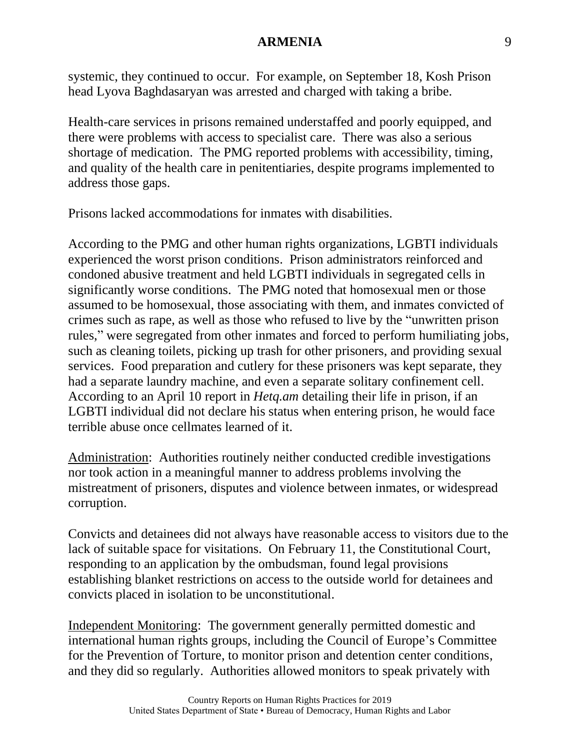systemic, they continued to occur. For example, on September 18, Kosh Prison head Lyova Baghdasaryan was arrested and charged with taking a bribe.

Health-care services in prisons remained understaffed and poorly equipped, and there were problems with access to specialist care. There was also a serious shortage of medication. The PMG reported problems with accessibility, timing, and quality of the health care in penitentiaries, despite programs implemented to address those gaps.

Prisons lacked accommodations for inmates with disabilities.

According to the PMG and other human rights organizations, LGBTI individuals experienced the worst prison conditions. Prison administrators reinforced and condoned abusive treatment and held LGBTI individuals in segregated cells in significantly worse conditions. The PMG noted that homosexual men or those assumed to be homosexual, those associating with them, and inmates convicted of crimes such as rape, as well as those who refused to live by the "unwritten prison rules," were segregated from other inmates and forced to perform humiliating jobs, such as cleaning toilets, picking up trash for other prisoners, and providing sexual services. Food preparation and cutlery for these prisoners was kept separate, they had a separate laundry machine, and even a separate solitary confinement cell. According to an April 10 report in *Hetq.am* detailing their life in prison, if an LGBTI individual did not declare his status when entering prison, he would face terrible abuse once cellmates learned of it.

Administration: Authorities routinely neither conducted credible investigations nor took action in a meaningful manner to address problems involving the mistreatment of prisoners, disputes and violence between inmates, or widespread corruption.

Convicts and detainees did not always have reasonable access to visitors due to the lack of suitable space for visitations. On February 11, the Constitutional Court, responding to an application by the ombudsman, found legal provisions establishing blanket restrictions on access to the outside world for detainees and convicts placed in isolation to be unconstitutional.

Independent Monitoring: The government generally permitted domestic and international human rights groups, including the Council of Europe's Committee for the Prevention of Torture, to monitor prison and detention center conditions, and they did so regularly. Authorities allowed monitors to speak privately with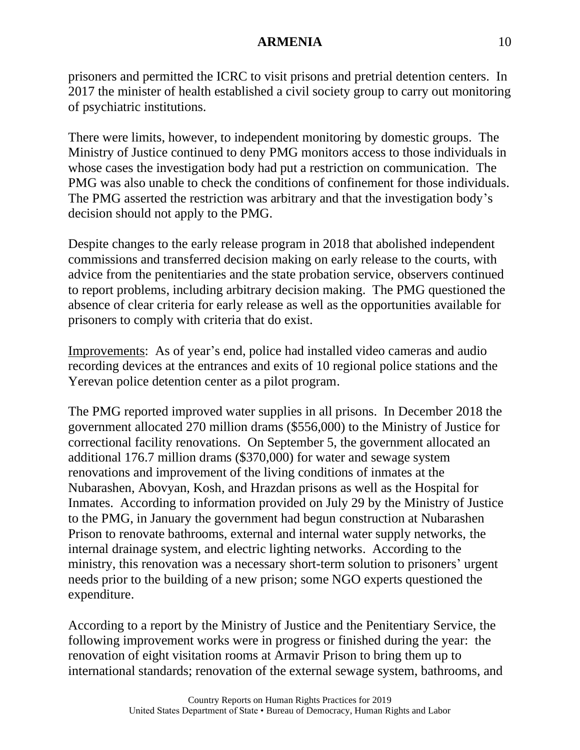prisoners and permitted the ICRC to visit prisons and pretrial detention centers. In 2017 the minister of health established a civil society group to carry out monitoring of psychiatric institutions.

There were limits, however, to independent monitoring by domestic groups. The Ministry of Justice continued to deny PMG monitors access to those individuals in whose cases the investigation body had put a restriction on communication. The PMG was also unable to check the conditions of confinement for those individuals. The PMG asserted the restriction was arbitrary and that the investigation body's decision should not apply to the PMG.

Despite changes to the early release program in 2018 that abolished independent commissions and transferred decision making on early release to the courts, with advice from the penitentiaries and the state probation service, observers continued to report problems, including arbitrary decision making. The PMG questioned the absence of clear criteria for early release as well as the opportunities available for prisoners to comply with criteria that do exist.

Improvements: As of year's end, police had installed video cameras and audio recording devices at the entrances and exits of 10 regional police stations and the Yerevan police detention center as a pilot program.

The PMG reported improved water supplies in all prisons. In December 2018 the government allocated 270 million drams (\$556,000) to the Ministry of Justice for correctional facility renovations. On September 5, the government allocated an additional 176.7 million drams (\$370,000) for water and sewage system renovations and improvement of the living conditions of inmates at the Nubarashen, Abovyan, Kosh, and Hrazdan prisons as well as the Hospital for Inmates. According to information provided on July 29 by the Ministry of Justice to the PMG, in January the government had begun construction at Nubarashen Prison to renovate bathrooms, external and internal water supply networks, the internal drainage system, and electric lighting networks. According to the ministry, this renovation was a necessary short-term solution to prisoners' urgent needs prior to the building of a new prison; some NGO experts questioned the expenditure.

According to a report by the Ministry of Justice and the Penitentiary Service, the following improvement works were in progress or finished during the year: the renovation of eight visitation rooms at Armavir Prison to bring them up to international standards; renovation of the external sewage system, bathrooms, and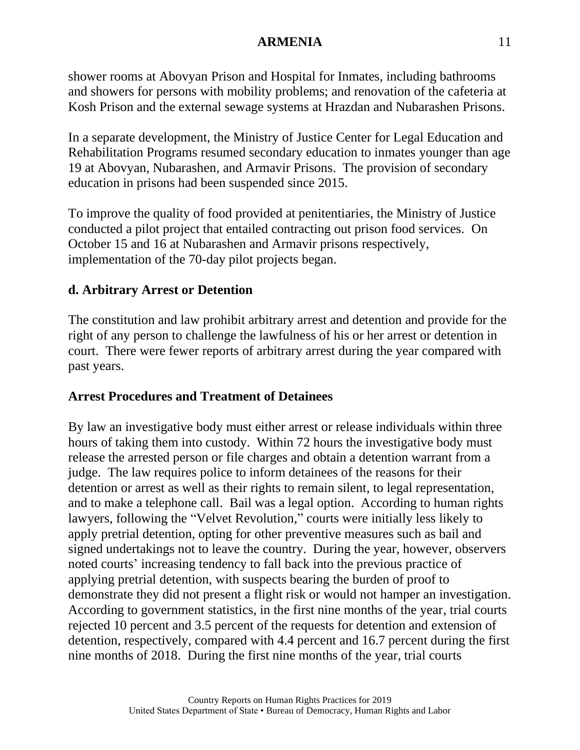shower rooms at Abovyan Prison and Hospital for Inmates, including bathrooms and showers for persons with mobility problems; and renovation of the cafeteria at Kosh Prison and the external sewage systems at Hrazdan and Nubarashen Prisons.

In a separate development, the Ministry of Justice Center for Legal Education and Rehabilitation Programs resumed secondary education to inmates younger than age 19 at Abovyan, Nubarashen, and Armavir Prisons. The provision of secondary education in prisons had been suspended since 2015.

To improve the quality of food provided at penitentiaries, the Ministry of Justice conducted a pilot project that entailed contracting out prison food services. On October 15 and 16 at Nubarashen and Armavir prisons respectively, implementation of the 70-day pilot projects began.

## **d. Arbitrary Arrest or Detention**

The constitution and law prohibit arbitrary arrest and detention and provide for the right of any person to challenge the lawfulness of his or her arrest or detention in court. There were fewer reports of arbitrary arrest during the year compared with past years.

## **Arrest Procedures and Treatment of Detainees**

By law an investigative body must either arrest or release individuals within three hours of taking them into custody. Within 72 hours the investigative body must release the arrested person or file charges and obtain a detention warrant from a judge. The law requires police to inform detainees of the reasons for their detention or arrest as well as their rights to remain silent, to legal representation, and to make a telephone call. Bail was a legal option. According to human rights lawyers, following the "Velvet Revolution," courts were initially less likely to apply pretrial detention, opting for other preventive measures such as bail and signed undertakings not to leave the country. During the year, however, observers noted courts' increasing tendency to fall back into the previous practice of applying pretrial detention, with suspects bearing the burden of proof to demonstrate they did not present a flight risk or would not hamper an investigation. According to government statistics, in the first nine months of the year, trial courts rejected 10 percent and 3.5 percent of the requests for detention and extension of detention, respectively, compared with 4.4 percent and 16.7 percent during the first nine months of 2018. During the first nine months of the year, trial courts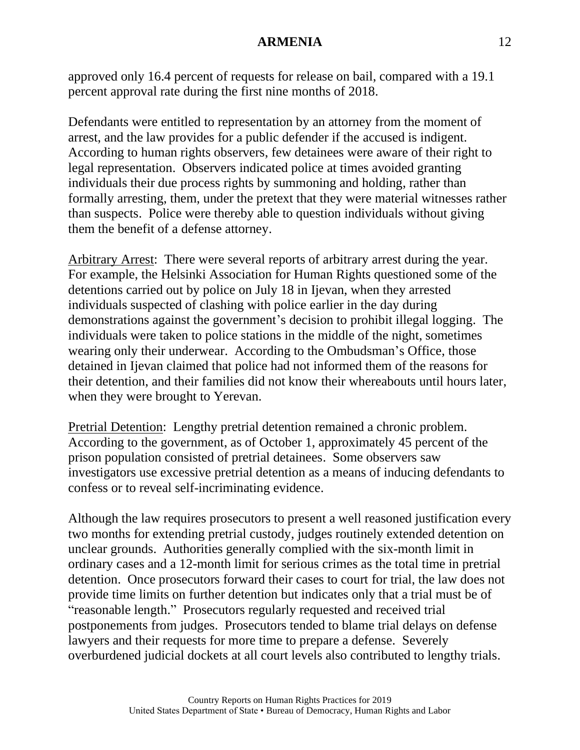approved only 16.4 percent of requests for release on bail, compared with a 19.1 percent approval rate during the first nine months of 2018.

Defendants were entitled to representation by an attorney from the moment of arrest, and the law provides for a public defender if the accused is indigent. According to human rights observers, few detainees were aware of their right to legal representation. Observers indicated police at times avoided granting individuals their due process rights by summoning and holding, rather than formally arresting, them, under the pretext that they were material witnesses rather than suspects. Police were thereby able to question individuals without giving them the benefit of a defense attorney.

Arbitrary Arrest: There were several reports of arbitrary arrest during the year. For example, the Helsinki Association for Human Rights questioned some of the detentions carried out by police on July 18 in Ijevan, when they arrested individuals suspected of clashing with police earlier in the day during demonstrations against the government's decision to prohibit illegal logging. The individuals were taken to police stations in the middle of the night, sometimes wearing only their underwear. According to the Ombudsman's Office, those detained in Ijevan claimed that police had not informed them of the reasons for their detention, and their families did not know their whereabouts until hours later, when they were brought to Yerevan.

Pretrial Detention: Lengthy pretrial detention remained a chronic problem. According to the government, as of October 1, approximately 45 percent of the prison population consisted of pretrial detainees. Some observers saw investigators use excessive pretrial detention as a means of inducing defendants to confess or to reveal self-incriminating evidence.

Although the law requires prosecutors to present a well reasoned justification every two months for extending pretrial custody, judges routinely extended detention on unclear grounds. Authorities generally complied with the six-month limit in ordinary cases and a 12-month limit for serious crimes as the total time in pretrial detention. Once prosecutors forward their cases to court for trial, the law does not provide time limits on further detention but indicates only that a trial must be of "reasonable length." Prosecutors regularly requested and received trial postponements from judges. Prosecutors tended to blame trial delays on defense lawyers and their requests for more time to prepare a defense. Severely overburdened judicial dockets at all court levels also contributed to lengthy trials.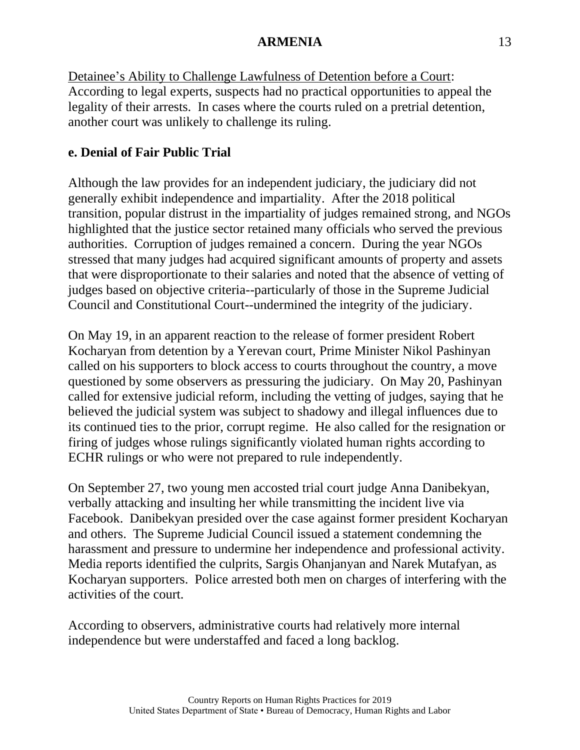Detainee's Ability to Challenge Lawfulness of Detention before a Court: According to legal experts, suspects had no practical opportunities to appeal the legality of their arrests. In cases where the courts ruled on a pretrial detention, another court was unlikely to challenge its ruling.

### **e. Denial of Fair Public Trial**

Although the law provides for an independent judiciary, the judiciary did not generally exhibit independence and impartiality. After the 2018 political transition, popular distrust in the impartiality of judges remained strong, and NGOs highlighted that the justice sector retained many officials who served the previous authorities. Corruption of judges remained a concern. During the year NGOs stressed that many judges had acquired significant amounts of property and assets that were disproportionate to their salaries and noted that the absence of vetting of judges based on objective criteria--particularly of those in the Supreme Judicial Council and Constitutional Court--undermined the integrity of the judiciary.

On May 19, in an apparent reaction to the release of former president Robert Kocharyan from detention by a Yerevan court, Prime Minister Nikol Pashinyan called on his supporters to block access to courts throughout the country, a move questioned by some observers as pressuring the judiciary. On May 20, Pashinyan called for extensive judicial reform, including the vetting of judges, saying that he believed the judicial system was subject to shadowy and illegal influences due to its continued ties to the prior, corrupt regime. He also called for the resignation or firing of judges whose rulings significantly violated human rights according to ECHR rulings or who were not prepared to rule independently.

On September 27, two young men accosted trial court judge Anna Danibekyan, verbally attacking and insulting her while transmitting the incident live via Facebook. Danibekyan presided over the case against former president Kocharyan and others. The Supreme Judicial Council issued a statement condemning the harassment and pressure to undermine her independence and professional activity. Media reports identified the culprits, Sargis Ohanjanyan and Narek Mutafyan, as Kocharyan supporters. Police arrested both men on charges of interfering with the activities of the court.

According to observers, administrative courts had relatively more internal independence but were understaffed and faced a long backlog.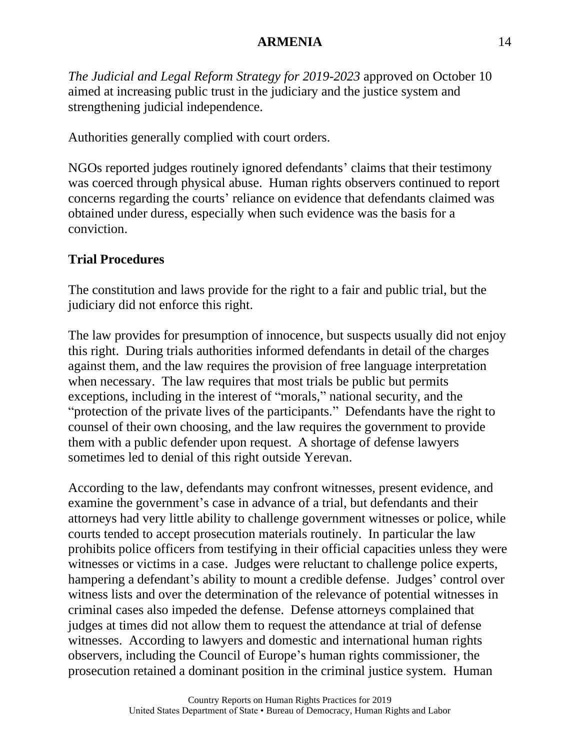*The Judicial and Legal Reform Strategy for 2019-2023* approved on October 10 aimed at increasing public trust in the judiciary and the justice system and strengthening judicial independence.

Authorities generally complied with court orders.

NGOs reported judges routinely ignored defendants' claims that their testimony was coerced through physical abuse. Human rights observers continued to report concerns regarding the courts' reliance on evidence that defendants claimed was obtained under duress, especially when such evidence was the basis for a conviction.

# **Trial Procedures**

The constitution and laws provide for the right to a fair and public trial, but the judiciary did not enforce this right.

The law provides for presumption of innocence, but suspects usually did not enjoy this right. During trials authorities informed defendants in detail of the charges against them, and the law requires the provision of free language interpretation when necessary. The law requires that most trials be public but permits exceptions, including in the interest of "morals," national security, and the "protection of the private lives of the participants." Defendants have the right to counsel of their own choosing, and the law requires the government to provide them with a public defender upon request. A shortage of defense lawyers sometimes led to denial of this right outside Yerevan.

According to the law, defendants may confront witnesses, present evidence, and examine the government's case in advance of a trial, but defendants and their attorneys had very little ability to challenge government witnesses or police, while courts tended to accept prosecution materials routinely. In particular the law prohibits police officers from testifying in their official capacities unless they were witnesses or victims in a case. Judges were reluctant to challenge police experts, hampering a defendant's ability to mount a credible defense. Judges' control over witness lists and over the determination of the relevance of potential witnesses in criminal cases also impeded the defense. Defense attorneys complained that judges at times did not allow them to request the attendance at trial of defense witnesses. According to lawyers and domestic and international human rights observers, including the Council of Europe's human rights commissioner, the prosecution retained a dominant position in the criminal justice system. Human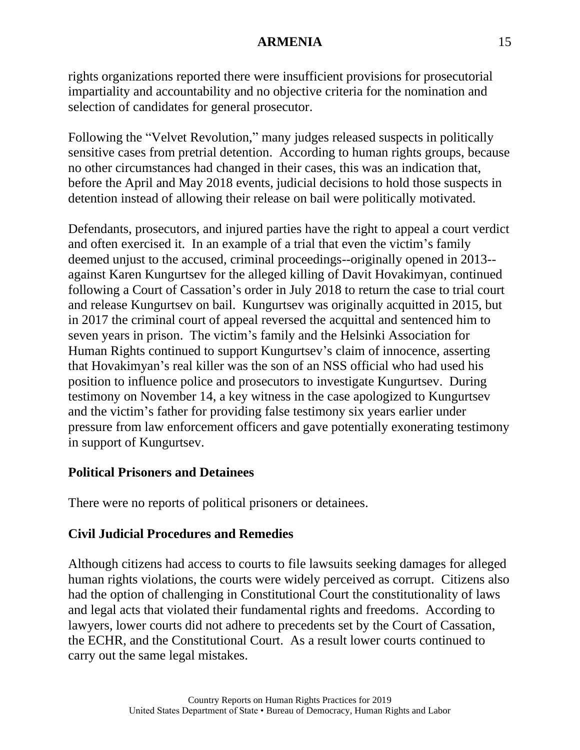rights organizations reported there were insufficient provisions for prosecutorial impartiality and accountability and no objective criteria for the nomination and selection of candidates for general prosecutor.

Following the "Velvet Revolution," many judges released suspects in politically sensitive cases from pretrial detention. According to human rights groups, because no other circumstances had changed in their cases, this was an indication that, before the April and May 2018 events, judicial decisions to hold those suspects in detention instead of allowing their release on bail were politically motivated.

Defendants, prosecutors, and injured parties have the right to appeal a court verdict and often exercised it. In an example of a trial that even the victim's family deemed unjust to the accused, criminal proceedings--originally opened in 2013- against Karen Kungurtsev for the alleged killing of Davit Hovakimyan, continued following a Court of Cassation's order in July 2018 to return the case to trial court and release Kungurtsev on bail. Kungurtsev was originally acquitted in 2015, but in 2017 the criminal court of appeal reversed the acquittal and sentenced him to seven years in prison. The victim's family and the Helsinki Association for Human Rights continued to support Kungurtsev's claim of innocence, asserting that Hovakimyan's real killer was the son of an NSS official who had used his position to influence police and prosecutors to investigate Kungurtsev. During testimony on November 14, a key witness in the case apologized to Kungurtsev and the victim's father for providing false testimony six years earlier under pressure from law enforcement officers and gave potentially exonerating testimony in support of Kungurtsev.

## **Political Prisoners and Detainees**

There were no reports of political prisoners or detainees.

# **Civil Judicial Procedures and Remedies**

Although citizens had access to courts to file lawsuits seeking damages for alleged human rights violations, the courts were widely perceived as corrupt. Citizens also had the option of challenging in Constitutional Court the constitutionality of laws and legal acts that violated their fundamental rights and freedoms. According to lawyers, lower courts did not adhere to precedents set by the Court of Cassation, the ECHR, and the Constitutional Court. As a result lower courts continued to carry out the same legal mistakes.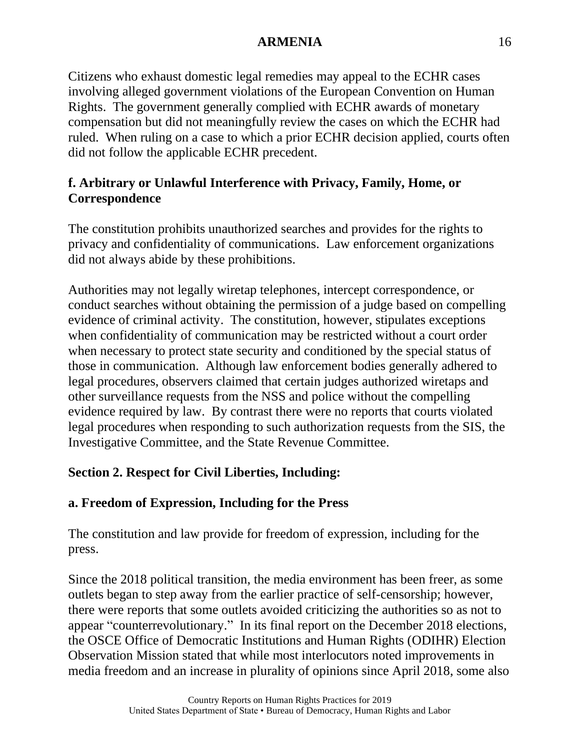Citizens who exhaust domestic legal remedies may appeal to the ECHR cases involving alleged government violations of the European Convention on Human Rights. The government generally complied with ECHR awards of monetary compensation but did not meaningfully review the cases on which the ECHR had ruled. When ruling on a case to which a prior ECHR decision applied, courts often did not follow the applicable ECHR precedent.

# **f. Arbitrary or Unlawful Interference with Privacy, Family, Home, or Correspondence**

The constitution prohibits unauthorized searches and provides for the rights to privacy and confidentiality of communications. Law enforcement organizations did not always abide by these prohibitions.

Authorities may not legally wiretap telephones, intercept correspondence, or conduct searches without obtaining the permission of a judge based on compelling evidence of criminal activity. The constitution, however, stipulates exceptions when confidentiality of communication may be restricted without a court order when necessary to protect state security and conditioned by the special status of those in communication. Although law enforcement bodies generally adhered to legal procedures, observers claimed that certain judges authorized wiretaps and other surveillance requests from the NSS and police without the compelling evidence required by law. By contrast there were no reports that courts violated legal procedures when responding to such authorization requests from the SIS, the Investigative Committee, and the State Revenue Committee.

# **Section 2. Respect for Civil Liberties, Including:**

## **a. Freedom of Expression, Including for the Press**

The constitution and law provide for freedom of expression, including for the press.

Since the 2018 political transition, the media environment has been freer, as some outlets began to step away from the earlier practice of self-censorship; however, there were reports that some outlets avoided criticizing the authorities so as not to appear "counterrevolutionary." In its final report on the December 2018 elections, the OSCE Office of Democratic Institutions and Human Rights (ODIHR) Election Observation Mission stated that while most interlocutors noted improvements in media freedom and an increase in plurality of opinions since April 2018, some also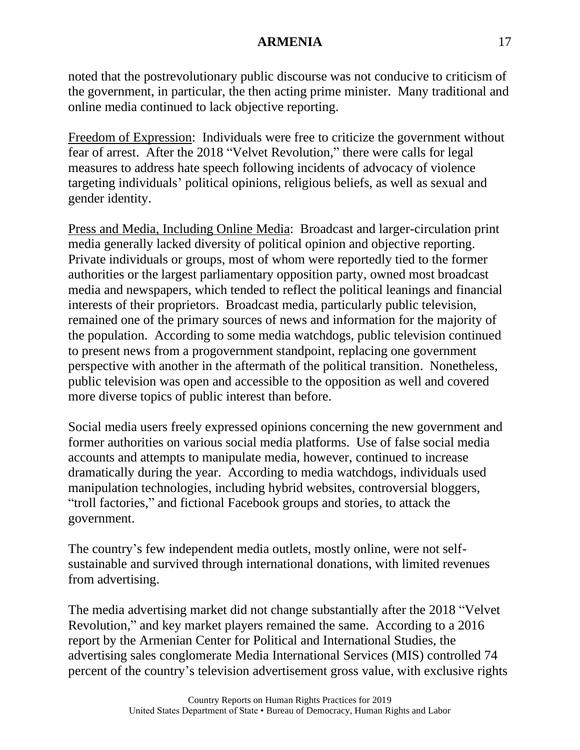noted that the postrevolutionary public discourse was not conducive to criticism of the government, in particular, the then acting prime minister. Many traditional and online media continued to lack objective reporting.

Freedom of Expression: Individuals were free to criticize the government without fear of arrest. After the 2018 "Velvet Revolution," there were calls for legal measures to address hate speech following incidents of advocacy of violence targeting individuals' political opinions, religious beliefs, as well as sexual and gender identity.

Press and Media, Including Online Media: Broadcast and larger-circulation print media generally lacked diversity of political opinion and objective reporting. Private individuals or groups, most of whom were reportedly tied to the former authorities or the largest parliamentary opposition party, owned most broadcast media and newspapers, which tended to reflect the political leanings and financial interests of their proprietors. Broadcast media, particularly public television, remained one of the primary sources of news and information for the majority of the population. According to some media watchdogs, public television continued to present news from a progovernment standpoint, replacing one government perspective with another in the aftermath of the political transition. Nonetheless, public television was open and accessible to the opposition as well and covered more diverse topics of public interest than before.

Social media users freely expressed opinions concerning the new government and former authorities on various social media platforms. Use of false social media accounts and attempts to manipulate media, however, continued to increase dramatically during the year. According to media watchdogs, individuals used manipulation technologies, including hybrid websites, controversial bloggers, "troll factories," and fictional Facebook groups and stories, to attack the government.

The country's few independent media outlets, mostly online, were not selfsustainable and survived through international donations, with limited revenues from advertising.

The media advertising market did not change substantially after the 2018 "Velvet Revolution," and key market players remained the same. According to a 2016 report by the Armenian Center for Political and International Studies, the advertising sales conglomerate Media International Services (MIS) controlled 74 percent of the country's television advertisement gross value, with exclusive rights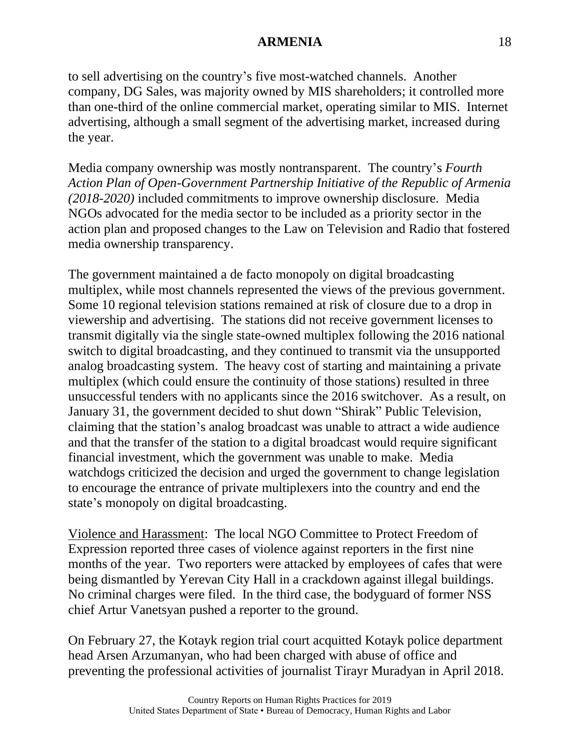to sell advertising on the country's five most-watched channels. Another company, DG Sales, was majority owned by MIS shareholders; it controlled more than one-third of the online commercial market, operating similar to MIS. Internet advertising, although a small segment of the advertising market, increased during the year.

Media company ownership was mostly nontransparent. The country's *Fourth Action Plan of Open-Government Partnership Initiative of the Republic of Armenia (2018-2020)* included commitments to improve ownership disclosure. Media NGOs advocated for the media sector to be included as a priority sector in the action plan and proposed changes to the Law on Television and Radio that fostered media ownership transparency.

The government maintained a de facto monopoly on digital broadcasting multiplex, while most channels represented the views of the previous government. Some 10 regional television stations remained at risk of closure due to a drop in viewership and advertising. The stations did not receive government licenses to transmit digitally via the single state-owned multiplex following the 2016 national switch to digital broadcasting, and they continued to transmit via the unsupported analog broadcasting system. The heavy cost of starting and maintaining a private multiplex (which could ensure the continuity of those stations) resulted in three unsuccessful tenders with no applicants since the 2016 switchover. As a result, on January 31, the government decided to shut down "Shirak" Public Television, claiming that the station's analog broadcast was unable to attract a wide audience and that the transfer of the station to a digital broadcast would require significant financial investment, which the government was unable to make. Media watchdogs criticized the decision and urged the government to change legislation to encourage the entrance of private multiplexers into the country and end the state's monopoly on digital broadcasting.

Violence and Harassment: The local NGO Committee to Protect Freedom of Expression reported three cases of violence against reporters in the first nine months of the year. Two reporters were attacked by employees of cafes that were being dismantled by Yerevan City Hall in a crackdown against illegal buildings. No criminal charges were filed. In the third case, the bodyguard of former NSS chief Artur Vanetsyan pushed a reporter to the ground.

On February 27, the Kotayk region trial court acquitted Kotayk police department head Arsen Arzumanyan, who had been charged with abuse of office and preventing the professional activities of journalist Tirayr Muradyan in April 2018.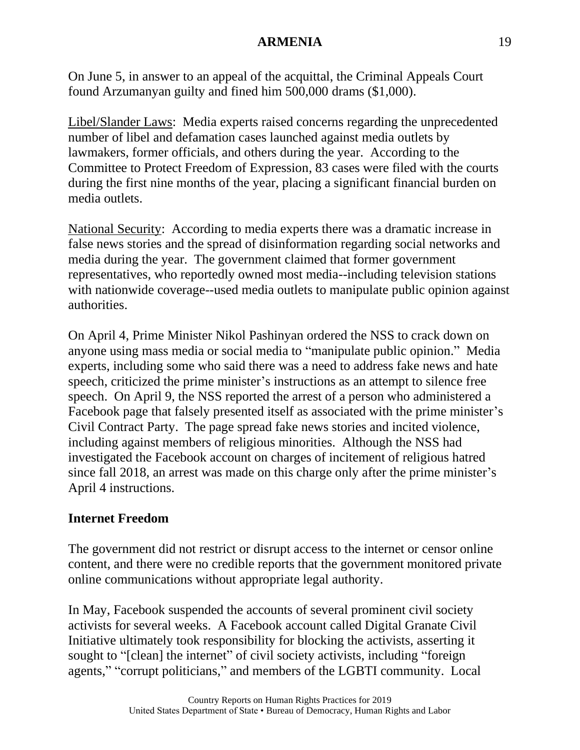On June 5, in answer to an appeal of the acquittal, the Criminal Appeals Court found Arzumanyan guilty and fined him 500,000 drams (\$1,000).

Libel/Slander Laws: Media experts raised concerns regarding the unprecedented number of libel and defamation cases launched against media outlets by lawmakers, former officials, and others during the year. According to the Committee to Protect Freedom of Expression, 83 cases were filed with the courts during the first nine months of the year, placing a significant financial burden on media outlets.

National Security: According to media experts there was a dramatic increase in false news stories and the spread of disinformation regarding social networks and media during the year. The government claimed that former government representatives, who reportedly owned most media--including television stations with nationwide coverage--used media outlets to manipulate public opinion against authorities.

On April 4, Prime Minister Nikol Pashinyan ordered the NSS to crack down on anyone using mass media or social media to "manipulate public opinion." Media experts, including some who said there was a need to address fake news and hate speech, criticized the prime minister's instructions as an attempt to silence free speech. On April 9, the NSS reported the arrest of a person who administered a Facebook page that falsely presented itself as associated with the prime minister's Civil Contract Party. The page spread fake news stories and incited violence, including against members of religious minorities. Although the NSS had investigated the Facebook account on charges of incitement of religious hatred since fall 2018, an arrest was made on this charge only after the prime minister's April 4 instructions.

## **Internet Freedom**

The government did not restrict or disrupt access to the internet or censor online content, and there were no credible reports that the government monitored private online communications without appropriate legal authority.

In May, Facebook suspended the accounts of several prominent civil society activists for several weeks. A Facebook account called Digital Granate Civil Initiative ultimately took responsibility for blocking the activists, asserting it sought to "[clean] the internet" of civil society activists, including "foreign agents," "corrupt politicians," and members of the LGBTI community. Local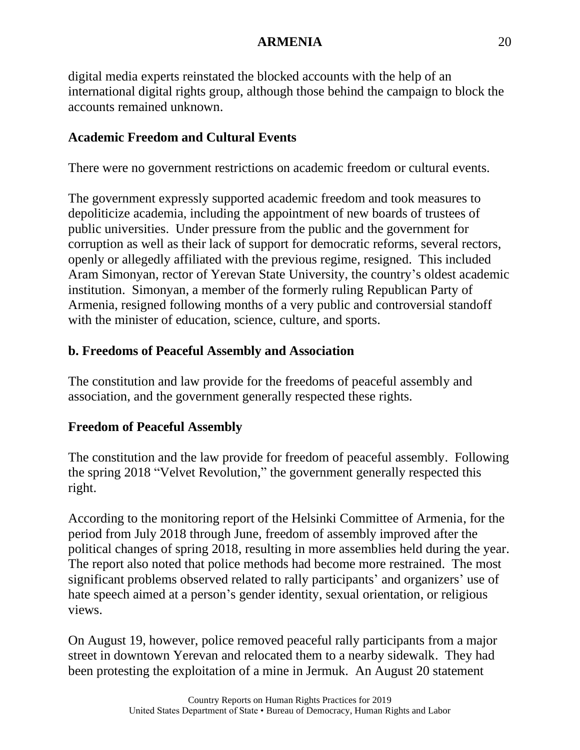digital media experts reinstated the blocked accounts with the help of an international digital rights group, although those behind the campaign to block the accounts remained unknown.

# **Academic Freedom and Cultural Events**

There were no government restrictions on academic freedom or cultural events.

The government expressly supported academic freedom and took measures to depoliticize academia, including the appointment of new boards of trustees of public universities. Under pressure from the public and the government for corruption as well as their lack of support for democratic reforms, several rectors, openly or allegedly affiliated with the previous regime, resigned. This included Aram Simonyan, rector of Yerevan State University, the country's oldest academic institution. Simonyan, a member of the formerly ruling Republican Party of Armenia, resigned following months of a very public and controversial standoff with the minister of education, science, culture, and sports.

# **b. Freedoms of Peaceful Assembly and Association**

The constitution and law provide for the freedoms of peaceful assembly and association, and the government generally respected these rights.

## **Freedom of Peaceful Assembly**

The constitution and the law provide for freedom of peaceful assembly. Following the spring 2018 "Velvet Revolution," the government generally respected this right.

According to the monitoring report of the Helsinki Committee of Armenia, for the period from July 2018 through June, freedom of assembly improved after the political changes of spring 2018, resulting in more assemblies held during the year. The report also noted that police methods had become more restrained. The most significant problems observed related to rally participants' and organizers' use of hate speech aimed at a person's gender identity, sexual orientation, or religious views.

On August 19, however, police removed peaceful rally participants from a major street in downtown Yerevan and relocated them to a nearby sidewalk. They had been protesting the exploitation of a mine in Jermuk. An August 20 statement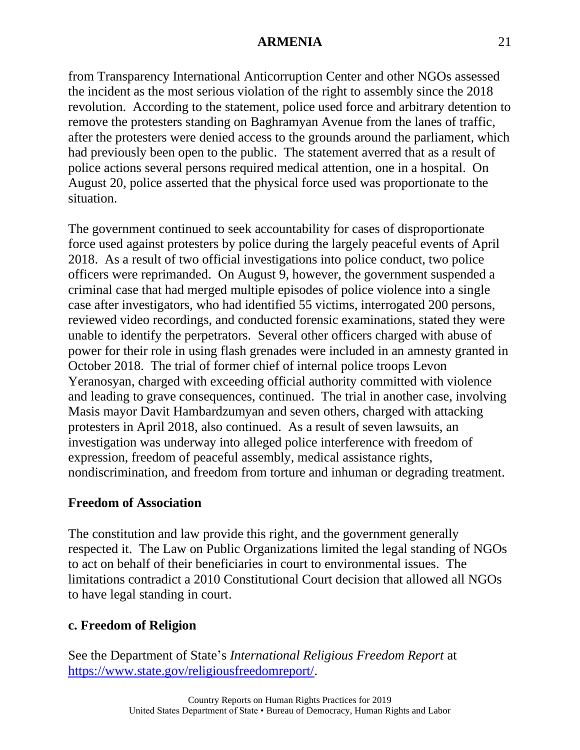from Transparency International Anticorruption Center and other NGOs assessed the incident as the most serious violation of the right to assembly since the 2018 revolution. According to the statement, police used force and arbitrary detention to remove the protesters standing on Baghramyan Avenue from the lanes of traffic, after the protesters were denied access to the grounds around the parliament, which had previously been open to the public. The statement averred that as a result of police actions several persons required medical attention, one in a hospital. On August 20, police asserted that the physical force used was proportionate to the situation.

The government continued to seek accountability for cases of disproportionate force used against protesters by police during the largely peaceful events of April 2018. As a result of two official investigations into police conduct, two police officers were reprimanded. On August 9, however, the government suspended a criminal case that had merged multiple episodes of police violence into a single case after investigators, who had identified 55 victims, interrogated 200 persons, reviewed video recordings, and conducted forensic examinations, stated they were unable to identify the perpetrators. Several other officers charged with abuse of power for their role in using flash grenades were included in an amnesty granted in October 2018. The trial of former chief of internal police troops Levon Yeranosyan, charged with exceeding official authority committed with violence and leading to grave consequences, continued. The trial in another case, involving Masis mayor Davit Hambardzumyan and seven others, charged with attacking protesters in April 2018, also continued. As a result of seven lawsuits, an investigation was underway into alleged police interference with freedom of expression, freedom of peaceful assembly, medical assistance rights, nondiscrimination, and freedom from torture and inhuman or degrading treatment.

#### **Freedom of Association**

The constitution and law provide this right, and the government generally respected it. The Law on Public Organizations limited the legal standing of NGOs to act on behalf of their beneficiaries in court to environmental issues. The limitations contradict a 2010 Constitutional Court decision that allowed all NGOs to have legal standing in court.

## **c. Freedom of Religion**

See the Department of State's *International Religious Freedom Report* at [https://www.state.gov/religiousfreedomreport/.](https://www.state.gov/religiousfreedomreport/)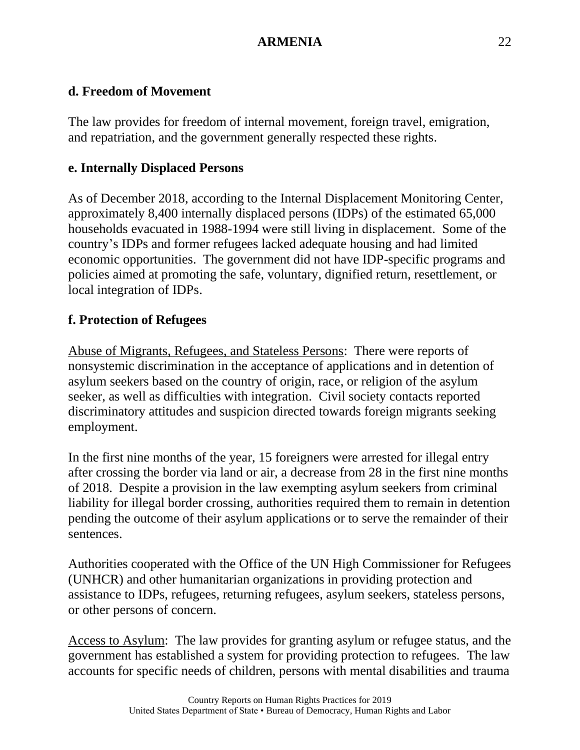# **d. Freedom of Movement**

The law provides for freedom of internal movement, foreign travel, emigration, and repatriation, and the government generally respected these rights.

# **e. Internally Displaced Persons**

As of December 2018, according to the Internal Displacement Monitoring Center, approximately 8,400 internally displaced persons (IDPs) of the estimated 65,000 households evacuated in 1988-1994 were still living in displacement. Some of the country's IDPs and former refugees lacked adequate housing and had limited economic opportunities. The government did not have IDP-specific programs and policies aimed at promoting the safe, voluntary, dignified return, resettlement, or local integration of IDPs.

# **f. Protection of Refugees**

Abuse of Migrants, Refugees, and Stateless Persons: There were reports of nonsystemic discrimination in the acceptance of applications and in detention of asylum seekers based on the country of origin, race, or religion of the asylum seeker, as well as difficulties with integration. Civil society contacts reported discriminatory attitudes and suspicion directed towards foreign migrants seeking employment.

In the first nine months of the year, 15 foreigners were arrested for illegal entry after crossing the border via land or air, a decrease from 28 in the first nine months of 2018. Despite a provision in the law exempting asylum seekers from criminal liability for illegal border crossing, authorities required them to remain in detention pending the outcome of their asylum applications or to serve the remainder of their sentences.

Authorities cooperated with the Office of the UN High Commissioner for Refugees (UNHCR) and other humanitarian organizations in providing protection and assistance to IDPs, refugees, returning refugees, asylum seekers, stateless persons, or other persons of concern.

Access to Asylum: The law provides for granting asylum or refugee status, and the government has established a system for providing protection to refugees. The law accounts for specific needs of children, persons with mental disabilities and trauma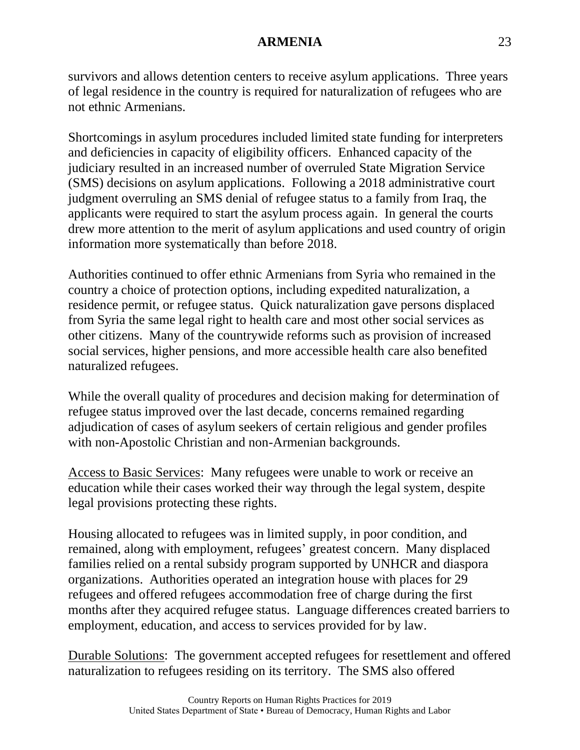survivors and allows detention centers to receive asylum applications. Three years of legal residence in the country is required for naturalization of refugees who are not ethnic Armenians.

Shortcomings in asylum procedures included limited state funding for interpreters and deficiencies in capacity of eligibility officers. Enhanced capacity of the judiciary resulted in an increased number of overruled State Migration Service (SMS) decisions on asylum applications. Following a 2018 administrative court judgment overruling an SMS denial of refugee status to a family from Iraq, the applicants were required to start the asylum process again. In general the courts drew more attention to the merit of asylum applications and used country of origin information more systematically than before 2018.

Authorities continued to offer ethnic Armenians from Syria who remained in the country a choice of protection options, including expedited naturalization, a residence permit, or refugee status. Quick naturalization gave persons displaced from Syria the same legal right to health care and most other social services as other citizens. Many of the countrywide reforms such as provision of increased social services, higher pensions, and more accessible health care also benefited naturalized refugees.

While the overall quality of procedures and decision making for determination of refugee status improved over the last decade, concerns remained regarding adjudication of cases of asylum seekers of certain religious and gender profiles with non-Apostolic Christian and non-Armenian backgrounds.

Access to Basic Services: Many refugees were unable to work or receive an education while their cases worked their way through the legal system, despite legal provisions protecting these rights.

Housing allocated to refugees was in limited supply, in poor condition, and remained, along with employment, refugees' greatest concern. Many displaced families relied on a rental subsidy program supported by UNHCR and diaspora organizations. Authorities operated an integration house with places for 29 refugees and offered refugees accommodation free of charge during the first months after they acquired refugee status. Language differences created barriers to employment, education, and access to services provided for by law.

Durable Solutions: The government accepted refugees for resettlement and offered naturalization to refugees residing on its territory. The SMS also offered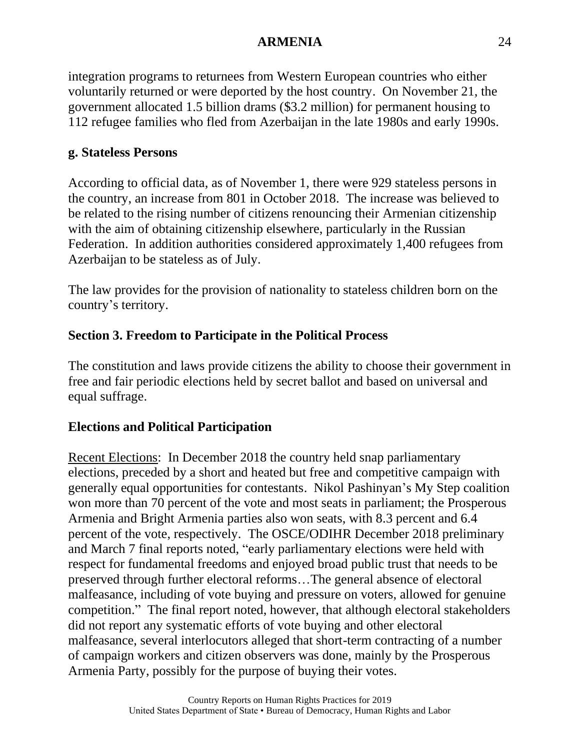integration programs to returnees from Western European countries who either voluntarily returned or were deported by the host country. On November 21, the government allocated 1.5 billion drams (\$3.2 million) for permanent housing to 112 refugee families who fled from Azerbaijan in the late 1980s and early 1990s.

## **g. Stateless Persons**

According to official data, as of November 1, there were 929 stateless persons in the country, an increase from 801 in October 2018. The increase was believed to be related to the rising number of citizens renouncing their Armenian citizenship with the aim of obtaining citizenship elsewhere, particularly in the Russian Federation. In addition authorities considered approximately 1,400 refugees from Azerbaijan to be stateless as of July.

The law provides for the provision of nationality to stateless children born on the country's territory.

# **Section 3. Freedom to Participate in the Political Process**

The constitution and laws provide citizens the ability to choose their government in free and fair periodic elections held by secret ballot and based on universal and equal suffrage.

## **Elections and Political Participation**

Recent Elections: In December 2018 the country held snap parliamentary elections, preceded by a short and heated but free and competitive campaign with generally equal opportunities for contestants. Nikol Pashinyan's My Step coalition won more than 70 percent of the vote and most seats in parliament; the Prosperous Armenia and Bright Armenia parties also won seats, with 8.3 percent and 6.4 percent of the vote, respectively. The OSCE/ODIHR December 2018 preliminary and March 7 final reports noted, "early parliamentary elections were held with respect for fundamental freedoms and enjoyed broad public trust that needs to be preserved through further electoral reforms…The general absence of electoral malfeasance, including of vote buying and pressure on voters, allowed for genuine competition." The final report noted, however, that although electoral stakeholders did not report any systematic efforts of vote buying and other electoral malfeasance, several interlocutors alleged that short-term contracting of a number of campaign workers and citizen observers was done, mainly by the Prosperous Armenia Party, possibly for the purpose of buying their votes.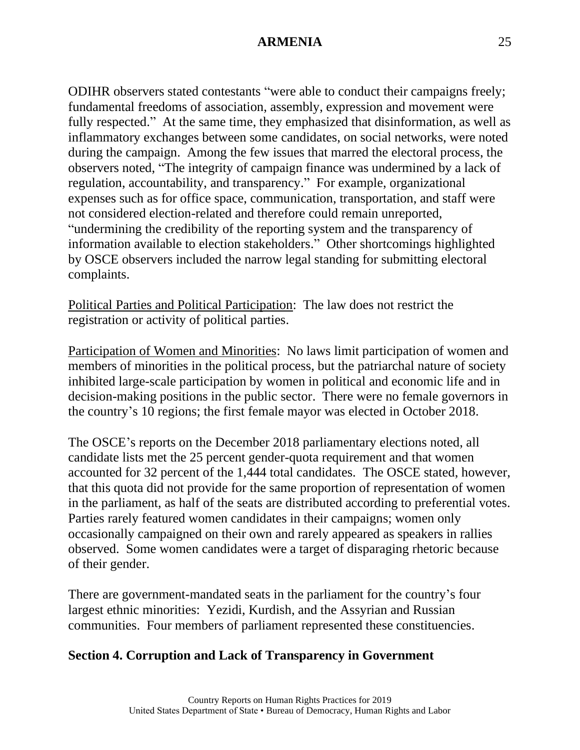ODIHR observers stated contestants "were able to conduct their campaigns freely; fundamental freedoms of association, assembly, expression and movement were fully respected." At the same time, they emphasized that disinformation, as well as inflammatory exchanges between some candidates, on social networks, were noted during the campaign. Among the few issues that marred the electoral process, the observers noted, "The integrity of campaign finance was undermined by a lack of regulation, accountability, and transparency." For example, organizational expenses such as for office space, communication, transportation, and staff were not considered election-related and therefore could remain unreported, "undermining the credibility of the reporting system and the transparency of information available to election stakeholders." Other shortcomings highlighted by OSCE observers included the narrow legal standing for submitting electoral complaints.

Political Parties and Political Participation: The law does not restrict the registration or activity of political parties.

Participation of Women and Minorities: No laws limit participation of women and members of minorities in the political process, but the patriarchal nature of society inhibited large-scale participation by women in political and economic life and in decision-making positions in the public sector. There were no female governors in the country's 10 regions; the first female mayor was elected in October 2018.

The OSCE's reports on the December 2018 parliamentary elections noted, all candidate lists met the 25 percent gender-quota requirement and that women accounted for 32 percent of the 1,444 total candidates. The OSCE stated, however, that this quota did not provide for the same proportion of representation of women in the parliament, as half of the seats are distributed according to preferential votes. Parties rarely featured women candidates in their campaigns; women only occasionally campaigned on their own and rarely appeared as speakers in rallies observed. Some women candidates were a target of disparaging rhetoric because of their gender.

There are government-mandated seats in the parliament for the country's four largest ethnic minorities: Yezidi, Kurdish, and the Assyrian and Russian communities. Four members of parliament represented these constituencies.

## **Section 4. Corruption and Lack of Transparency in Government**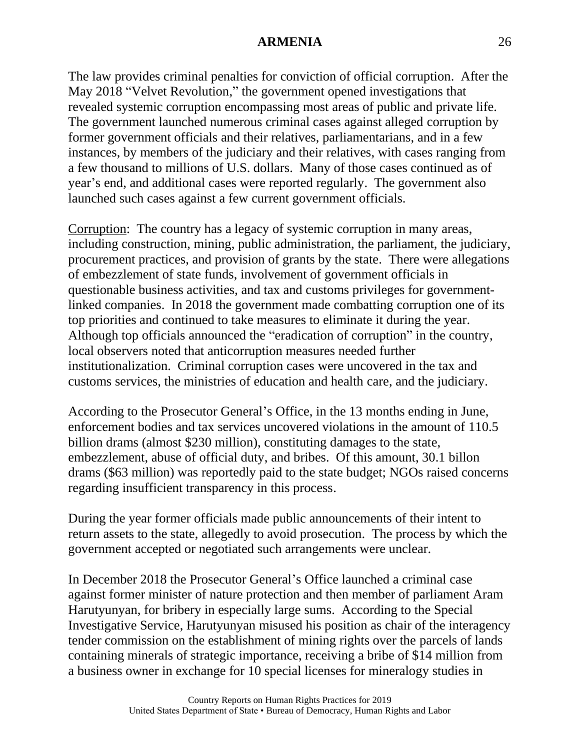The law provides criminal penalties for conviction of official corruption. After the May 2018 "Velvet Revolution," the government opened investigations that revealed systemic corruption encompassing most areas of public and private life. The government launched numerous criminal cases against alleged corruption by former government officials and their relatives, parliamentarians, and in a few instances, by members of the judiciary and their relatives, with cases ranging from a few thousand to millions of U.S. dollars. Many of those cases continued as of year's end, and additional cases were reported regularly. The government also launched such cases against a few current government officials.

Corruption: The country has a legacy of systemic corruption in many areas, including construction, mining, public administration, the parliament, the judiciary, procurement practices, and provision of grants by the state. There were allegations of embezzlement of state funds, involvement of government officials in questionable business activities, and tax and customs privileges for governmentlinked companies. In 2018 the government made combatting corruption one of its top priorities and continued to take measures to eliminate it during the year. Although top officials announced the "eradication of corruption" in the country, local observers noted that anticorruption measures needed further institutionalization. Criminal corruption cases were uncovered in the tax and customs services, the ministries of education and health care, and the judiciary.

According to the Prosecutor General's Office, in the 13 months ending in June, enforcement bodies and tax services uncovered violations in the amount of 110.5 billion drams (almost \$230 million), constituting damages to the state, embezzlement, abuse of official duty, and bribes. Of this amount, 30.1 billon drams (\$63 million) was reportedly paid to the state budget; NGOs raised concerns regarding insufficient transparency in this process.

During the year former officials made public announcements of their intent to return assets to the state, allegedly to avoid prosecution. The process by which the government accepted or negotiated such arrangements were unclear.

In December 2018 the Prosecutor General's Office launched a criminal case against former minister of nature protection and then member of parliament Aram Harutyunyan, for bribery in especially large sums. According to the Special Investigative Service, Harutyunyan misused his position as chair of the interagency tender commission on the establishment of mining rights over the parcels of lands containing minerals of strategic importance, receiving a bribe of \$14 million from a business owner in exchange for 10 special licenses for mineralogy studies in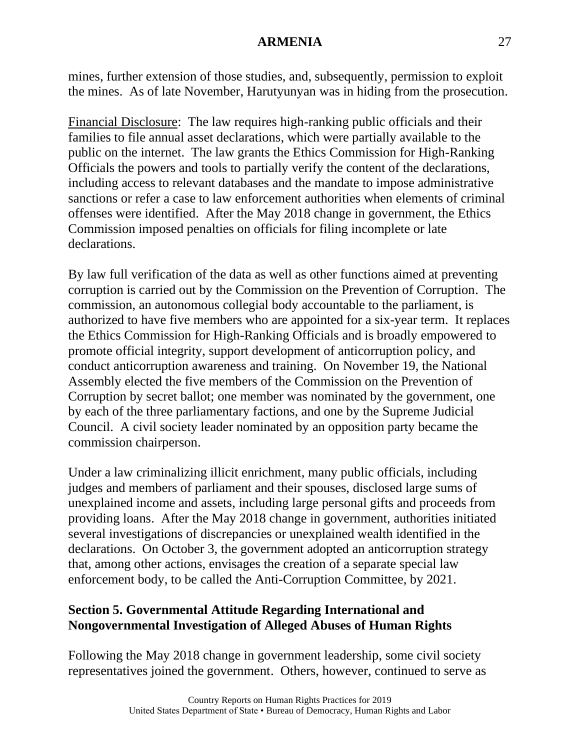mines, further extension of those studies, and, subsequently, permission to exploit the mines. As of late November, Harutyunyan was in hiding from the prosecution.

Financial Disclosure: The law requires high-ranking public officials and their families to file annual asset declarations, which were partially available to the public on the internet. The law grants the Ethics Commission for High-Ranking Officials the powers and tools to partially verify the content of the declarations, including access to relevant databases and the mandate to impose administrative sanctions or refer a case to law enforcement authorities when elements of criminal offenses were identified. After the May 2018 change in government, the Ethics Commission imposed penalties on officials for filing incomplete or late declarations.

By law full verification of the data as well as other functions aimed at preventing corruption is carried out by the Commission on the Prevention of Corruption. The commission, an autonomous collegial body accountable to the parliament, is authorized to have five members who are appointed for a six-year term. It replaces the Ethics Commission for High-Ranking Officials and is broadly empowered to promote official integrity, support development of anticorruption policy, and conduct anticorruption awareness and training. On November 19, the National Assembly elected the five members of the Commission on the Prevention of Corruption by secret ballot; one member was nominated by the government, one by each of the three parliamentary factions, and one by the Supreme Judicial Council. A civil society leader nominated by an opposition party became the commission chairperson.

Under a law criminalizing illicit enrichment, many public officials, including judges and members of parliament and their spouses, disclosed large sums of unexplained income and assets, including large personal gifts and proceeds from providing loans. After the May 2018 change in government, authorities initiated several investigations of discrepancies or unexplained wealth identified in the declarations. On October 3, the government adopted an anticorruption strategy that, among other actions, envisages the creation of a separate special law enforcement body, to be called the Anti-Corruption Committee, by 2021.

#### **Section 5. Governmental Attitude Regarding International and Nongovernmental Investigation of Alleged Abuses of Human Rights**

Following the May 2018 change in government leadership, some civil society representatives joined the government. Others, however, continued to serve as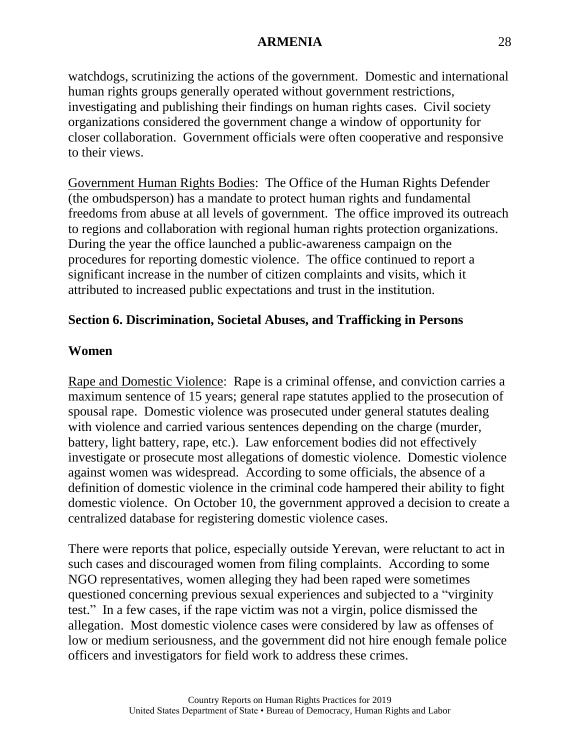watchdogs, scrutinizing the actions of the government. Domestic and international human rights groups generally operated without government restrictions, investigating and publishing their findings on human rights cases. Civil society organizations considered the government change a window of opportunity for closer collaboration. Government officials were often cooperative and responsive to their views.

Government Human Rights Bodies: The Office of the Human Rights Defender (the ombudsperson) has a mandate to protect human rights and fundamental freedoms from abuse at all levels of government. The office improved its outreach to regions and collaboration with regional human rights protection organizations. During the year the office launched a public-awareness campaign on the procedures for reporting domestic violence. The office continued to report a significant increase in the number of citizen complaints and visits, which it attributed to increased public expectations and trust in the institution.

### **Section 6. Discrimination, Societal Abuses, and Trafficking in Persons**

### **Women**

Rape and Domestic Violence: Rape is a criminal offense, and conviction carries a maximum sentence of 15 years; general rape statutes applied to the prosecution of spousal rape. Domestic violence was prosecuted under general statutes dealing with violence and carried various sentences depending on the charge (murder, battery, light battery, rape, etc.). Law enforcement bodies did not effectively investigate or prosecute most allegations of domestic violence. Domestic violence against women was widespread. According to some officials, the absence of a definition of domestic violence in the criminal code hampered their ability to fight domestic violence. On October 10, the government approved a decision to create a centralized database for registering domestic violence cases.

There were reports that police, especially outside Yerevan, were reluctant to act in such cases and discouraged women from filing complaints. According to some NGO representatives, women alleging they had been raped were sometimes questioned concerning previous sexual experiences and subjected to a "virginity test." In a few cases, if the rape victim was not a virgin, police dismissed the allegation. Most domestic violence cases were considered by law as offenses of low or medium seriousness, and the government did not hire enough female police officers and investigators for field work to address these crimes.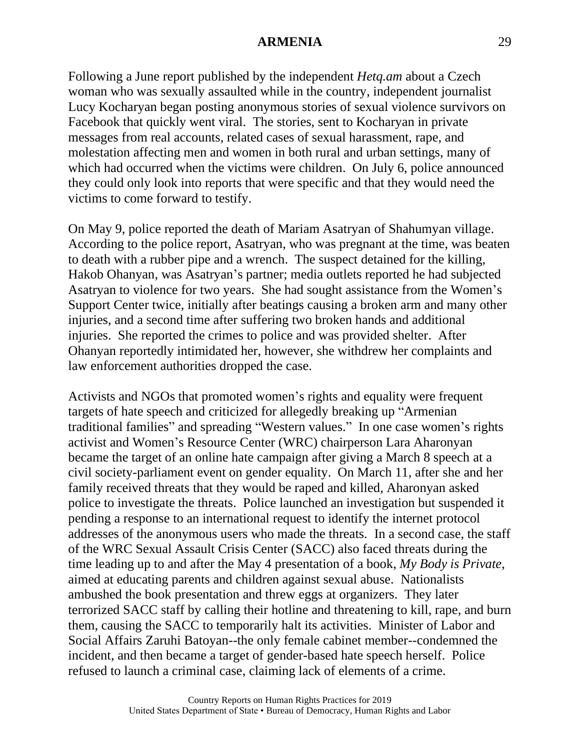Following a June report published by the independent *Hetq.am* about a Czech woman who was sexually assaulted while in the country, independent journalist Lucy Kocharyan began posting anonymous stories of sexual violence survivors on Facebook that quickly went viral. The stories, sent to Kocharyan in private messages from real accounts, related cases of sexual harassment, rape, and molestation affecting men and women in both rural and urban settings, many of which had occurred when the victims were children. On July 6, police announced they could only look into reports that were specific and that they would need the victims to come forward to testify.

On May 9, police reported the death of Mariam Asatryan of Shahumyan village. According to the police report, Asatryan, who was pregnant at the time, was beaten to death with a rubber pipe and a wrench. The suspect detained for the killing, Hakob Ohanyan, was Asatryan's partner; media outlets reported he had subjected Asatryan to violence for two years. She had sought assistance from the Women's Support Center twice, initially after beatings causing a broken arm and many other injuries, and a second time after suffering two broken hands and additional injuries. She reported the crimes to police and was provided shelter. After Ohanyan reportedly intimidated her, however, she withdrew her complaints and law enforcement authorities dropped the case.

Activists and NGOs that promoted women's rights and equality were frequent targets of hate speech and criticized for allegedly breaking up "Armenian traditional families" and spreading "Western values." In one case women's rights activist and Women's Resource Center (WRC) chairperson Lara Aharonyan became the target of an online hate campaign after giving a March 8 speech at a civil society-parliament event on gender equality. On March 11, after she and her family received threats that they would be raped and killed, Aharonyan asked police to investigate the threats. Police launched an investigation but suspended it pending a response to an international request to identify the internet protocol addresses of the anonymous users who made the threats. In a second case, the staff of the WRC Sexual Assault Crisis Center (SACC) also faced threats during the time leading up to and after the May 4 presentation of a book, *My Body is Private*, aimed at educating parents and children against sexual abuse. Nationalists ambushed the book presentation and threw eggs at organizers. They later terrorized SACC staff by calling their hotline and threatening to kill, rape, and burn them, causing the SACC to temporarily halt its activities. Minister of Labor and Social Affairs Zaruhi Batoyan--the only female cabinet member--condemned the incident, and then became a target of gender-based hate speech herself. Police refused to launch a criminal case, claiming lack of elements of a crime.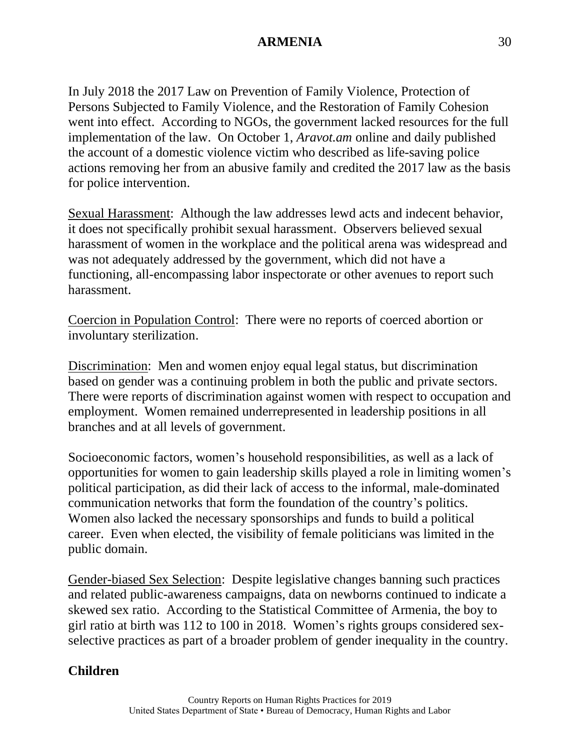In July 2018 the 2017 Law on Prevention of Family Violence, Protection of Persons Subjected to Family Violence, and the Restoration of Family Cohesion went into effect. According to NGOs, the government lacked resources for the full implementation of the law. On October 1, *Aravot.am* online and daily published the account of a domestic violence victim who described as life-saving police actions removing her from an abusive family and credited the 2017 law as the basis for police intervention.

Sexual Harassment: Although the law addresses lewd acts and indecent behavior, it does not specifically prohibit sexual harassment. Observers believed sexual harassment of women in the workplace and the political arena was widespread and was not adequately addressed by the government, which did not have a functioning, all-encompassing labor inspectorate or other avenues to report such harassment.

Coercion in Population Control: There were no reports of coerced abortion or involuntary sterilization.

Discrimination: Men and women enjoy equal legal status, but discrimination based on gender was a continuing problem in both the public and private sectors. There were reports of discrimination against women with respect to occupation and employment. Women remained underrepresented in leadership positions in all branches and at all levels of government.

Socioeconomic factors, women's household responsibilities, as well as a lack of opportunities for women to gain leadership skills played a role in limiting women's political participation, as did their lack of access to the informal, male-dominated communication networks that form the foundation of the country's politics. Women also lacked the necessary sponsorships and funds to build a political career. Even when elected, the visibility of female politicians was limited in the public domain.

Gender-biased Sex Selection: Despite legislative changes banning such practices and related public-awareness campaigns, data on newborns continued to indicate a skewed sex ratio. According to the Statistical Committee of Armenia, the boy to girl ratio at birth was 112 to 100 in 2018. Women's rights groups considered sexselective practices as part of a broader problem of gender inequality in the country.

#### **Children**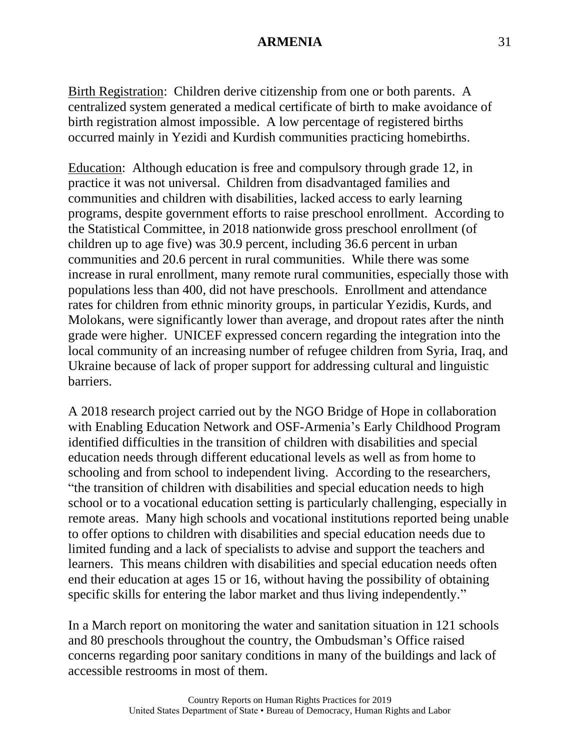Birth Registration: Children derive citizenship from one or both parents. A centralized system generated a medical certificate of birth to make avoidance of birth registration almost impossible. A low percentage of registered births occurred mainly in Yezidi and Kurdish communities practicing homebirths.

Education: Although education is free and compulsory through grade 12, in practice it was not universal. Children from disadvantaged families and communities and children with disabilities, lacked access to early learning programs, despite government efforts to raise preschool enrollment. According to the Statistical Committee, in 2018 nationwide gross preschool enrollment (of children up to age five) was 30.9 percent, including 36.6 percent in urban communities and 20.6 percent in rural communities. While there was some increase in rural enrollment, many remote rural communities, especially those with populations less than 400, did not have preschools. Enrollment and attendance rates for children from ethnic minority groups, in particular Yezidis, Kurds, and Molokans, were significantly lower than average, and dropout rates after the ninth grade were higher. UNICEF expressed concern regarding the integration into the local community of an increasing number of refugee children from Syria, Iraq, and Ukraine because of lack of proper support for addressing cultural and linguistic barriers.

A 2018 research project carried out by the NGO Bridge of Hope in collaboration with Enabling Education Network and OSF-Armenia's Early Childhood Program identified difficulties in the transition of children with disabilities and special education needs through different educational levels as well as from home to schooling and from school to independent living. According to the researchers, "the transition of children with disabilities and special education needs to high school or to a vocational education setting is particularly challenging, especially in remote areas. Many high schools and vocational institutions reported being unable to offer options to children with disabilities and special education needs due to limited funding and a lack of specialists to advise and support the teachers and learners. This means children with disabilities and special education needs often end their education at ages 15 or 16, without having the possibility of obtaining specific skills for entering the labor market and thus living independently."

In a March report on monitoring the water and sanitation situation in 121 schools and 80 preschools throughout the country, the Ombudsman's Office raised concerns regarding poor sanitary conditions in many of the buildings and lack of accessible restrooms in most of them.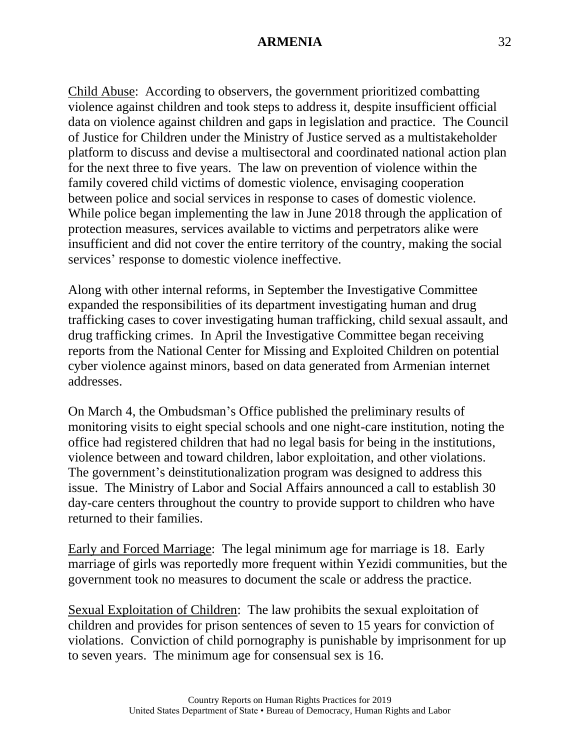Child Abuse: According to observers, the government prioritized combatting violence against children and took steps to address it, despite insufficient official data on violence against children and gaps in legislation and practice. The Council of Justice for Children under the Ministry of Justice served as a multistakeholder platform to discuss and devise a multisectoral and coordinated national action plan for the next three to five years. The law on prevention of violence within the family covered child victims of domestic violence, envisaging cooperation between police and social services in response to cases of domestic violence. While police began implementing the law in June 2018 through the application of protection measures, services available to victims and perpetrators alike were insufficient and did not cover the entire territory of the country, making the social services' response to domestic violence ineffective.

Along with other internal reforms, in September the Investigative Committee expanded the responsibilities of its department investigating human and drug trafficking cases to cover investigating human trafficking, child sexual assault, and drug trafficking crimes. In April the Investigative Committee began receiving reports from the National Center for Missing and Exploited Children on potential cyber violence against minors, based on data generated from Armenian internet addresses.

On March 4, the Ombudsman's Office published the preliminary results of monitoring visits to eight special schools and one night-care institution, noting the office had registered children that had no legal basis for being in the institutions, violence between and toward children, labor exploitation, and other violations. The government's deinstitutionalization program was designed to address this issue. The Ministry of Labor and Social Affairs announced a call to establish 30 day-care centers throughout the country to provide support to children who have returned to their families.

Early and Forced Marriage: The legal minimum age for marriage is 18. Early marriage of girls was reportedly more frequent within Yezidi communities, but the government took no measures to document the scale or address the practice.

Sexual Exploitation of Children: The law prohibits the sexual exploitation of children and provides for prison sentences of seven to 15 years for conviction of violations. Conviction of child pornography is punishable by imprisonment for up to seven years. The minimum age for consensual sex is 16.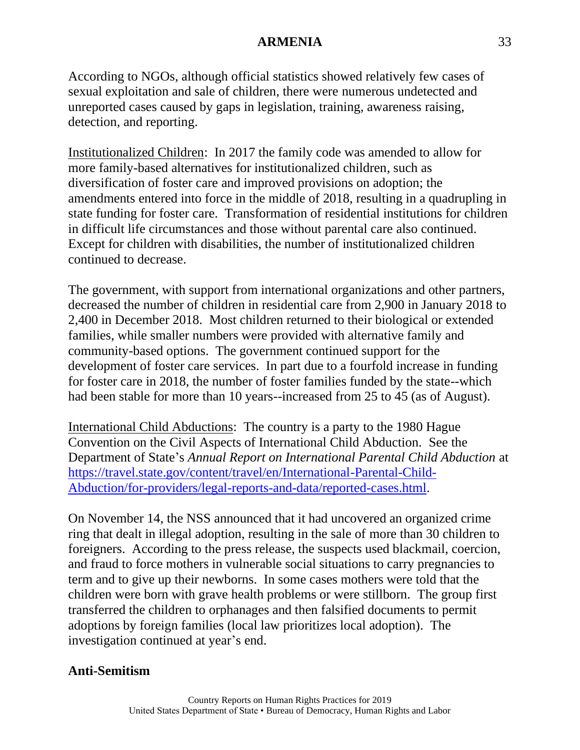According to NGOs, although official statistics showed relatively few cases of sexual exploitation and sale of children, there were numerous undetected and unreported cases caused by gaps in legislation, training, awareness raising, detection, and reporting.

Institutionalized Children: In 2017 the family code was amended to allow for more family-based alternatives for institutionalized children, such as diversification of foster care and improved provisions on adoption; the amendments entered into force in the middle of 2018, resulting in a quadrupling in state funding for foster care. Transformation of residential institutions for children in difficult life circumstances and those without parental care also continued. Except for children with disabilities, the number of institutionalized children continued to decrease.

The government, with support from international organizations and other partners, decreased the number of children in residential care from 2,900 in January 2018 to 2,400 in December 2018. Most children returned to their biological or extended families, while smaller numbers were provided with alternative family and community-based options. The government continued support for the development of foster care services. In part due to a fourfold increase in funding for foster care in 2018, the number of foster families funded by the state--which had been stable for more than 10 years--increased from 25 to 45 (as of August).

International Child Abductions: The country is a party to the 1980 Hague Convention on the Civil Aspects of International Child Abduction. See the Department of State's *Annual Report on International Parental Child Abduction* at [https://travel.state.gov/content/travel/en/International-Parental-Child-](https://travel.state.gov/content/travel/en/International-Parental-Child-Abduction/for-providers/legal-reports-and-data/reported-cases.html)[Abduction/for-providers/legal-reports-and-data/reported-cases.html.](https://travel.state.gov/content/travel/en/International-Parental-Child-Abduction/for-providers/legal-reports-and-data/reported-cases.html)

On November 14, the NSS announced that it had uncovered an organized crime ring that dealt in illegal adoption, resulting in the sale of more than 30 children to foreigners. According to the press release, the suspects used blackmail, coercion, and fraud to force mothers in vulnerable social situations to carry pregnancies to term and to give up their newborns. In some cases mothers were told that the children were born with grave health problems or were stillborn. The group first transferred the children to orphanages and then falsified documents to permit adoptions by foreign families (local law prioritizes local adoption). The investigation continued at year's end.

## **Anti-Semitism**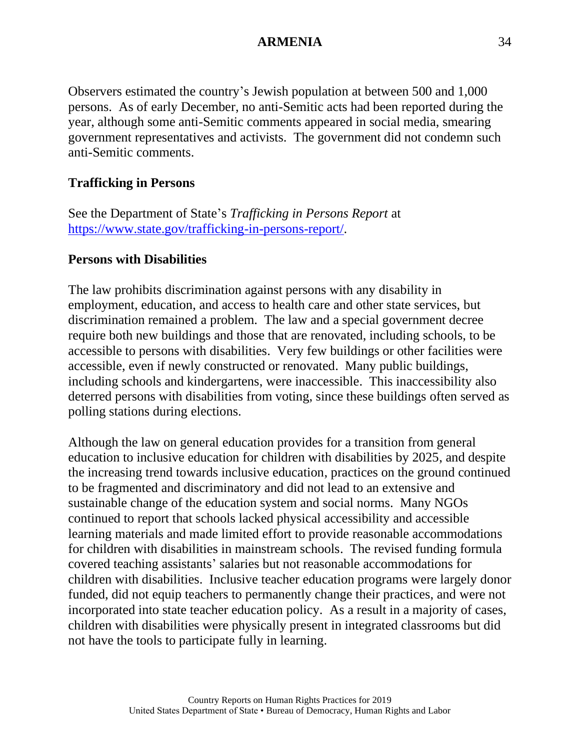Observers estimated the country's Jewish population at between 500 and 1,000 persons. As of early December, no anti-Semitic acts had been reported during the year, although some anti-Semitic comments appeared in social media, smearing government representatives and activists. The government did not condemn such anti-Semitic comments.

### **Trafficking in Persons**

See the Department of State's *Trafficking in Persons Report* at [https://www.state.gov/trafficking-in-persons-report/.](https://www.state.gov/trafficking-in-persons-report/)

#### **Persons with Disabilities**

The law prohibits discrimination against persons with any disability in employment, education, and access to health care and other state services, but discrimination remained a problem. The law and a special government decree require both new buildings and those that are renovated, including schools, to be accessible to persons with disabilities. Very few buildings or other facilities were accessible, even if newly constructed or renovated. Many public buildings, including schools and kindergartens, were inaccessible. This inaccessibility also deterred persons with disabilities from voting, since these buildings often served as polling stations during elections.

Although the law on general education provides for a transition from general education to inclusive education for children with disabilities by 2025, and despite the increasing trend towards inclusive education, practices on the ground continued to be fragmented and discriminatory and did not lead to an extensive and sustainable change of the education system and social norms. Many NGOs continued to report that schools lacked physical accessibility and accessible learning materials and made limited effort to provide reasonable accommodations for children with disabilities in mainstream schools. The revised funding formula covered teaching assistants' salaries but not reasonable accommodations for children with disabilities. Inclusive teacher education programs were largely donor funded, did not equip teachers to permanently change their practices, and were not incorporated into state teacher education policy. As a result in a majority of cases, children with disabilities were physically present in integrated classrooms but did not have the tools to participate fully in learning.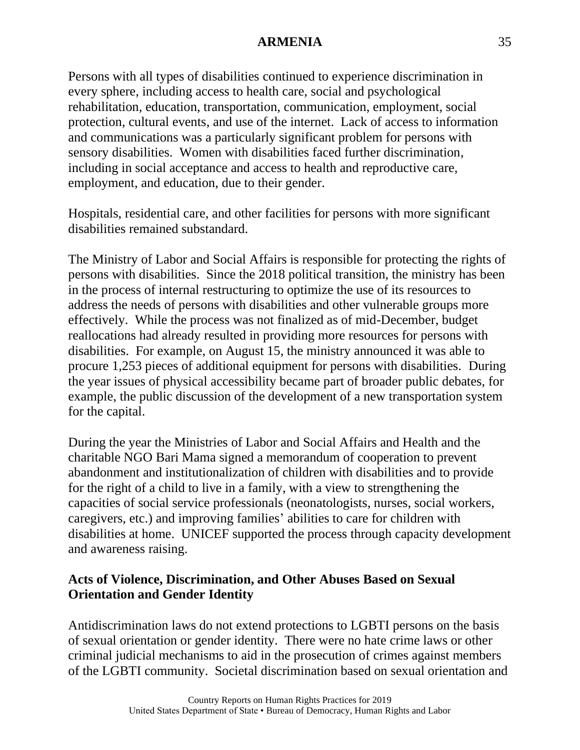Persons with all types of disabilities continued to experience discrimination in every sphere, including access to health care, social and psychological rehabilitation, education, transportation, communication, employment, social protection, cultural events, and use of the internet. Lack of access to information and communications was a particularly significant problem for persons with sensory disabilities. Women with disabilities faced further discrimination, including in social acceptance and access to health and reproductive care, employment, and education, due to their gender.

Hospitals, residential care, and other facilities for persons with more significant disabilities remained substandard.

The Ministry of Labor and Social Affairs is responsible for protecting the rights of persons with disabilities. Since the 2018 political transition, the ministry has been in the process of internal restructuring to optimize the use of its resources to address the needs of persons with disabilities and other vulnerable groups more effectively. While the process was not finalized as of mid-December, budget reallocations had already resulted in providing more resources for persons with disabilities. For example, on August 15, the ministry announced it was able to procure 1,253 pieces of additional equipment for persons with disabilities. During the year issues of physical accessibility became part of broader public debates, for example, the public discussion of the development of a new transportation system for the capital.

During the year the Ministries of Labor and Social Affairs and Health and the charitable NGO Bari Mama signed a memorandum of cooperation to prevent abandonment and institutionalization of children with disabilities and to provide for the right of a child to live in a family, with a view to strengthening the capacities of social service professionals (neonatologists, nurses, social workers, caregivers, etc.) and improving families' abilities to care for children with disabilities at home. UNICEF supported the process through capacity development and awareness raising.

### **Acts of Violence, Discrimination, and Other Abuses Based on Sexual Orientation and Gender Identity**

Antidiscrimination laws do not extend protections to LGBTI persons on the basis of sexual orientation or gender identity. There were no hate crime laws or other criminal judicial mechanisms to aid in the prosecution of crimes against members of the LGBTI community. Societal discrimination based on sexual orientation and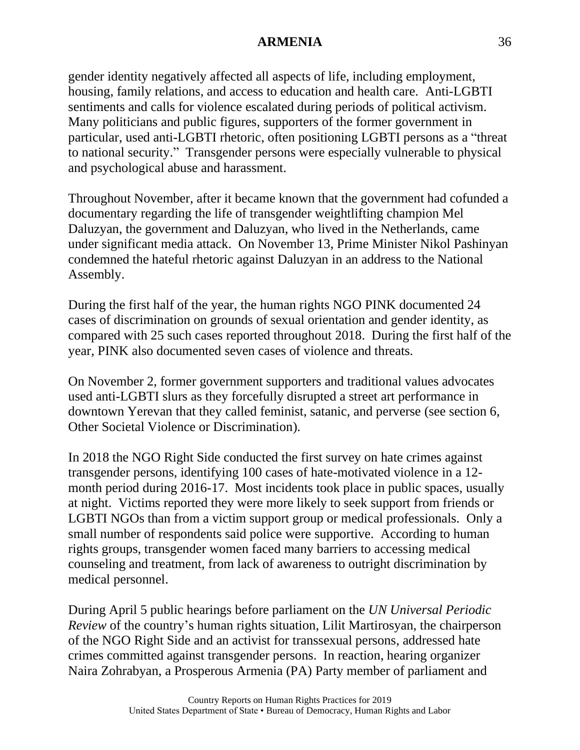gender identity negatively affected all aspects of life, including employment, housing, family relations, and access to education and health care. Anti-LGBTI sentiments and calls for violence escalated during periods of political activism. Many politicians and public figures, supporters of the former government in particular, used anti-LGBTI rhetoric, often positioning LGBTI persons as a "threat to national security." Transgender persons were especially vulnerable to physical and psychological abuse and harassment.

Throughout November, after it became known that the government had cofunded a documentary regarding the life of transgender weightlifting champion Mel Daluzyan, the government and Daluzyan, who lived in the Netherlands, came under significant media attack. On November 13, Prime Minister Nikol Pashinyan condemned the hateful rhetoric against Daluzyan in an address to the National Assembly.

During the first half of the year, the human rights NGO PINK documented 24 cases of discrimination on grounds of sexual orientation and gender identity, as compared with 25 such cases reported throughout 2018. During the first half of the year, PINK also documented seven cases of violence and threats.

On November 2, former government supporters and traditional values advocates used anti-LGBTI slurs as they forcefully disrupted a street art performance in downtown Yerevan that they called feminist, satanic, and perverse (see section 6, Other Societal Violence or Discrimination).

In 2018 the NGO Right Side conducted the first survey on hate crimes against transgender persons, identifying 100 cases of hate-motivated violence in a 12 month period during 2016-17. Most incidents took place in public spaces, usually at night. Victims reported they were more likely to seek support from friends or LGBTI NGOs than from a victim support group or medical professionals. Only a small number of respondents said police were supportive. According to human rights groups, transgender women faced many barriers to accessing medical counseling and treatment, from lack of awareness to outright discrimination by medical personnel.

During April 5 public hearings before parliament on the *UN Universal Periodic Review* of the country's human rights situation, Lilit Martirosyan, the chairperson of the NGO Right Side and an activist for transsexual persons, addressed hate crimes committed against transgender persons. In reaction, hearing organizer Naira Zohrabyan, a Prosperous Armenia (PA) Party member of parliament and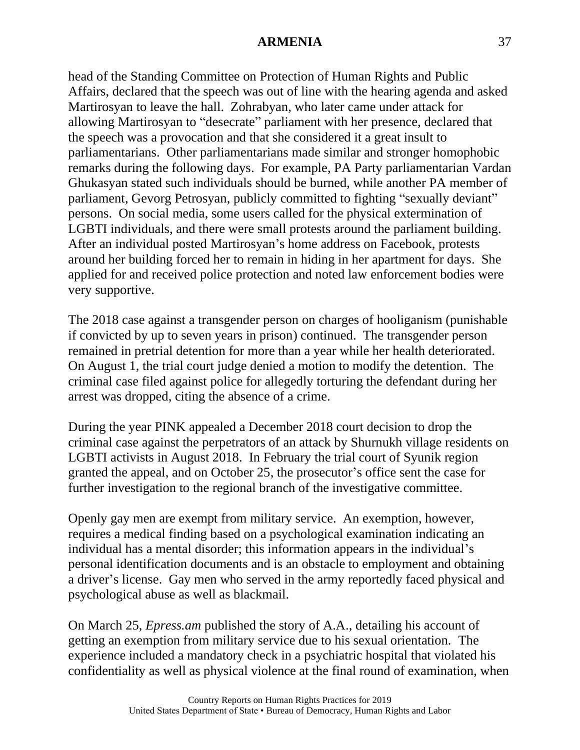head of the Standing Committee on Protection of Human Rights and Public Affairs, declared that the speech was out of line with the hearing agenda and asked Martirosyan to leave the hall. Zohrabyan, who later came under attack for allowing Martirosyan to "desecrate" parliament with her presence, declared that the speech was a provocation and that she considered it a great insult to parliamentarians. Other parliamentarians made similar and stronger homophobic remarks during the following days. For example, PA Party parliamentarian Vardan Ghukasyan stated such individuals should be burned, while another PA member of parliament, Gevorg Petrosyan, publicly committed to fighting "sexually deviant" persons. On social media, some users called for the physical extermination of LGBTI individuals, and there were small protests around the parliament building. After an individual posted Martirosyan's home address on Facebook, protests around her building forced her to remain in hiding in her apartment for days. She applied for and received police protection and noted law enforcement bodies were very supportive.

The 2018 case against a transgender person on charges of hooliganism (punishable if convicted by up to seven years in prison) continued. The transgender person remained in pretrial detention for more than a year while her health deteriorated. On August 1, the trial court judge denied a motion to modify the detention. The criminal case filed against police for allegedly torturing the defendant during her arrest was dropped, citing the absence of a crime.

During the year PINK appealed a December 2018 court decision to drop the criminal case against the perpetrators of an attack by Shurnukh village residents on LGBTI activists in August 2018. In February the trial court of Syunik region granted the appeal, and on October 25, the prosecutor's office sent the case for further investigation to the regional branch of the investigative committee.

Openly gay men are exempt from military service. An exemption, however, requires a medical finding based on a psychological examination indicating an individual has a mental disorder; this information appears in the individual's personal identification documents and is an obstacle to employment and obtaining a driver's license. Gay men who served in the army reportedly faced physical and psychological abuse as well as blackmail.

On March 25, *Epress.am* published the story of A.A., detailing his account of getting an exemption from military service due to his sexual orientation. The experience included a mandatory check in a psychiatric hospital that violated his confidentiality as well as physical violence at the final round of examination, when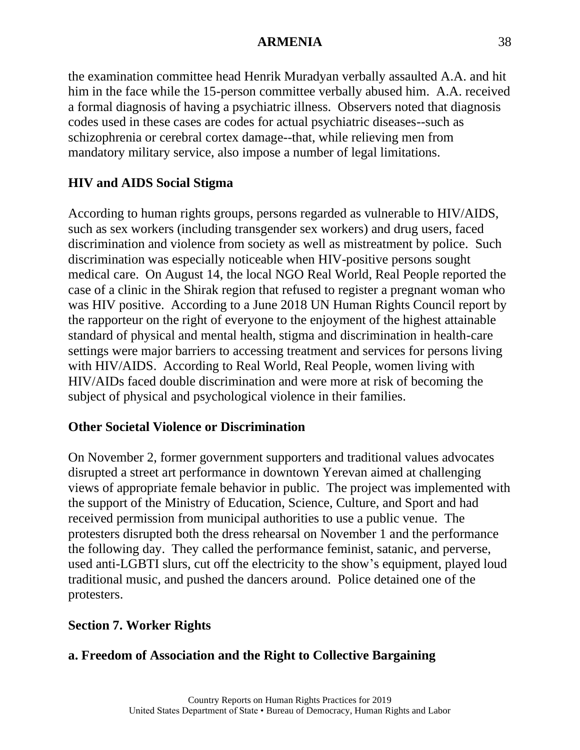the examination committee head Henrik Muradyan verbally assaulted A.A. and hit him in the face while the 15-person committee verbally abused him. A.A. received a formal diagnosis of having a psychiatric illness. Observers noted that diagnosis codes used in these cases are codes for actual psychiatric diseases--such as schizophrenia or cerebral cortex damage--that, while relieving men from mandatory military service, also impose a number of legal limitations.

# **HIV and AIDS Social Stigma**

According to human rights groups, persons regarded as vulnerable to HIV/AIDS, such as sex workers (including transgender sex workers) and drug users, faced discrimination and violence from society as well as mistreatment by police. Such discrimination was especially noticeable when HIV-positive persons sought medical care. On August 14, the local NGO Real World, Real People reported the case of a clinic in the Shirak region that refused to register a pregnant woman who was HIV positive. According to a June 2018 UN Human Rights Council report by the rapporteur on the right of everyone to the enjoyment of the highest attainable standard of physical and mental health, stigma and discrimination in health-care settings were major barriers to accessing treatment and services for persons living with HIV/AIDS. According to Real World, Real People, women living with HIV/AIDs faced double discrimination and were more at risk of becoming the subject of physical and psychological violence in their families.

## **Other Societal Violence or Discrimination**

On November 2, former government supporters and traditional values advocates disrupted a street art performance in downtown Yerevan aimed at challenging views of appropriate female behavior in public. The project was implemented with the support of the Ministry of Education, Science, Culture, and Sport and had received permission from municipal authorities to use a public venue. The protesters disrupted both the dress rehearsal on November 1 and the performance the following day. They called the performance feminist, satanic, and perverse, used anti-LGBTI slurs, cut off the electricity to the show's equipment, played loud traditional music, and pushed the dancers around. Police detained one of the protesters.

## **Section 7. Worker Rights**

## **a. Freedom of Association and the Right to Collective Bargaining**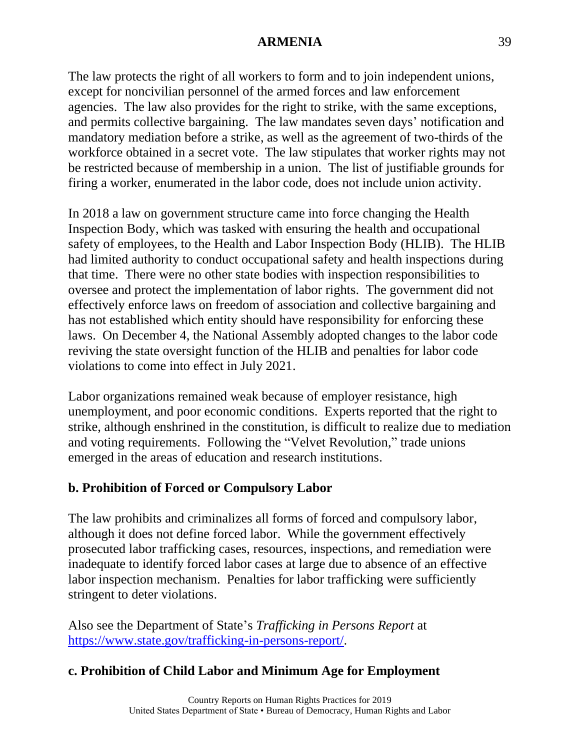The law protects the right of all workers to form and to join independent unions, except for noncivilian personnel of the armed forces and law enforcement agencies. The law also provides for the right to strike, with the same exceptions, and permits collective bargaining. The law mandates seven days' notification and mandatory mediation before a strike, as well as the agreement of two-thirds of the workforce obtained in a secret vote. The law stipulates that worker rights may not be restricted because of membership in a union. The list of justifiable grounds for firing a worker, enumerated in the labor code, does not include union activity.

In 2018 a law on government structure came into force changing the Health Inspection Body, which was tasked with ensuring the health and occupational safety of employees, to the Health and Labor Inspection Body (HLIB). The HLIB had limited authority to conduct occupational safety and health inspections during that time. There were no other state bodies with inspection responsibilities to oversee and protect the implementation of labor rights. The government did not effectively enforce laws on freedom of association and collective bargaining and has not established which entity should have responsibility for enforcing these laws. On December 4, the National Assembly adopted changes to the labor code reviving the state oversight function of the HLIB and penalties for labor code violations to come into effect in July 2021.

Labor organizations remained weak because of employer resistance, high unemployment, and poor economic conditions. Experts reported that the right to strike, although enshrined in the constitution, is difficult to realize due to mediation and voting requirements. Following the "Velvet Revolution," trade unions emerged in the areas of education and research institutions.

## **b. Prohibition of Forced or Compulsory Labor**

The law prohibits and criminalizes all forms of forced and compulsory labor, although it does not define forced labor. While the government effectively prosecuted labor trafficking cases, resources, inspections, and remediation were inadequate to identify forced labor cases at large due to absence of an effective labor inspection mechanism. Penalties for labor trafficking were sufficiently stringent to deter violations.

Also see the Department of State's *Trafficking in Persons Report* at [https://www.state.gov/trafficking-in-persons-report/.](https://www.state.gov/trafficking-in-persons-report/)

## **c. Prohibition of Child Labor and Minimum Age for Employment**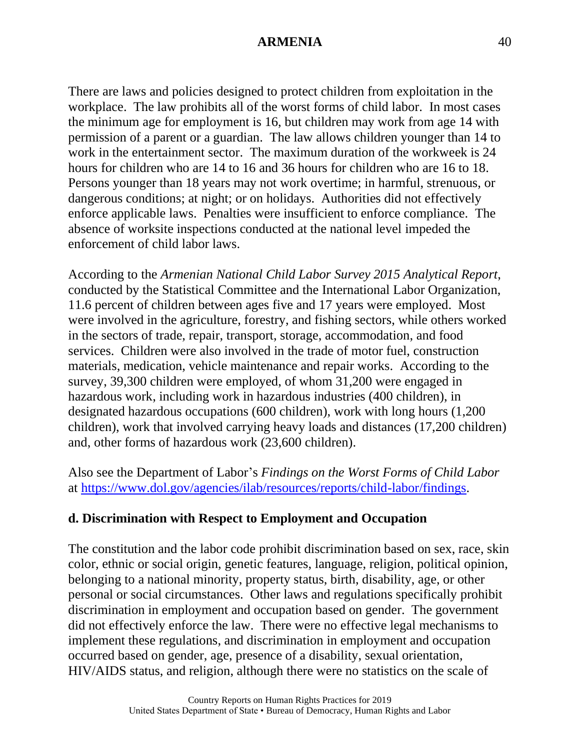There are laws and policies designed to protect children from exploitation in the workplace. The law prohibits all of the worst forms of child labor. In most cases the minimum age for employment is 16, but children may work from age 14 with permission of a parent or a guardian. The law allows children younger than 14 to work in the entertainment sector. The maximum duration of the workweek is 24 hours for children who are 14 to 16 and 36 hours for children who are 16 to 18. Persons younger than 18 years may not work overtime; in harmful, strenuous, or dangerous conditions; at night; or on holidays. Authorities did not effectively enforce applicable laws. Penalties were insufficient to enforce compliance. The absence of worksite inspections conducted at the national level impeded the enforcement of child labor laws.

According to the *Armenian National Child Labor Survey 2015 Analytical Report*, conducted by the Statistical Committee and the International Labor Organization, 11.6 percent of children between ages five and 17 years were employed. Most were involved in the agriculture, forestry, and fishing sectors, while others worked in the sectors of trade, repair, transport, storage, accommodation, and food services. Children were also involved in the trade of motor fuel, construction materials, medication, vehicle maintenance and repair works. According to the survey, 39,300 children were employed, of whom 31,200 were engaged in hazardous work, including work in hazardous industries (400 children), in designated hazardous occupations (600 children), work with long hours (1,200 children), work that involved carrying heavy loads and distances (17,200 children) and, other forms of hazardous work (23,600 children).

Also see the Department of Labor's *Findings on the Worst Forms of Child Labor* at [https://www.dol.gov/agencies/ilab/resources/reports/child-labor/findings.](https://www.dol.gov/agencies/ilab/resources/reports/child-labor/findings)

## **d. Discrimination with Respect to Employment and Occupation**

The constitution and the labor code prohibit discrimination based on sex, race, skin color, ethnic or social origin, genetic features, language, religion, political opinion, belonging to a national minority, property status, birth, disability, age, or other personal or social circumstances. Other laws and regulations specifically prohibit discrimination in employment and occupation based on gender. The government did not effectively enforce the law. There were no effective legal mechanisms to implement these regulations, and discrimination in employment and occupation occurred based on gender, age, presence of a disability, sexual orientation, HIV/AIDS status, and religion, although there were no statistics on the scale of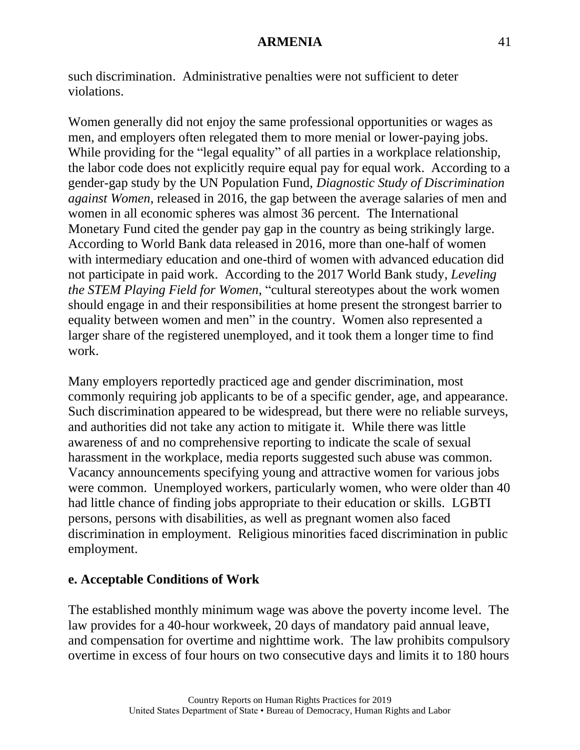such discrimination. Administrative penalties were not sufficient to deter violations.

Women generally did not enjoy the same professional opportunities or wages as men, and employers often relegated them to more menial or lower-paying jobs. While providing for the "legal equality" of all parties in a workplace relationship, the labor code does not explicitly require equal pay for equal work. According to a gender-gap study by the UN Population Fund, *Diagnostic Study of Discrimination against Women*, released in 2016, the gap between the average salaries of men and women in all economic spheres was almost 36 percent. The International Monetary Fund cited the gender pay gap in the country as being strikingly large. According to World Bank data released in 2016, more than one-half of women with intermediary education and one-third of women with advanced education did not participate in paid work. According to the 2017 World Bank study, *Leveling the STEM Playing Field for Women*, "cultural stereotypes about the work women should engage in and their responsibilities at home present the strongest barrier to equality between women and men" in the country. Women also represented a larger share of the registered unemployed, and it took them a longer time to find work.

Many employers reportedly practiced age and gender discrimination, most commonly requiring job applicants to be of a specific gender, age, and appearance. Such discrimination appeared to be widespread, but there were no reliable surveys, and authorities did not take any action to mitigate it. While there was little awareness of and no comprehensive reporting to indicate the scale of sexual harassment in the workplace, media reports suggested such abuse was common. Vacancy announcements specifying young and attractive women for various jobs were common. Unemployed workers, particularly women, who were older than 40 had little chance of finding jobs appropriate to their education or skills. LGBTI persons, persons with disabilities, as well as pregnant women also faced discrimination in employment. Religious minorities faced discrimination in public employment.

#### **e. Acceptable Conditions of Work**

The established monthly minimum wage was above the poverty income level. The law provides for a 40-hour workweek, 20 days of mandatory paid annual leave, and compensation for overtime and nighttime work. The law prohibits compulsory overtime in excess of four hours on two consecutive days and limits it to 180 hours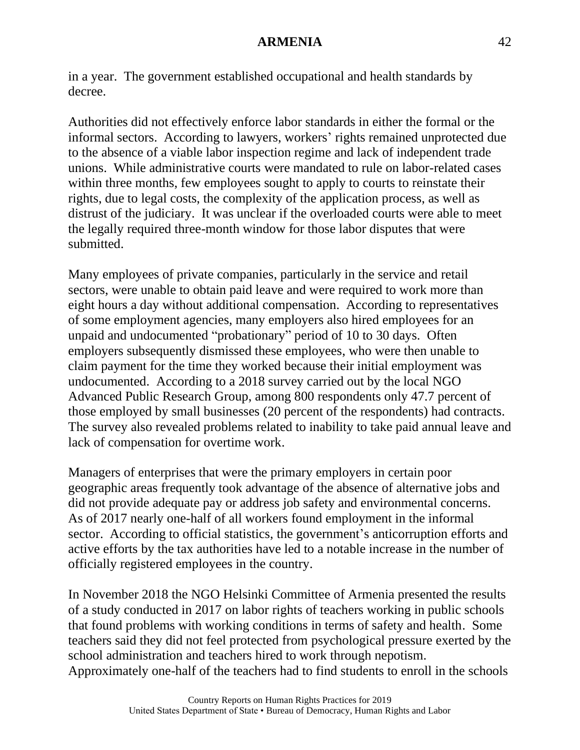in a year. The government established occupational and health standards by decree.

Authorities did not effectively enforce labor standards in either the formal or the informal sectors. According to lawyers, workers' rights remained unprotected due to the absence of a viable labor inspection regime and lack of independent trade unions. While administrative courts were mandated to rule on labor-related cases within three months, few employees sought to apply to courts to reinstate their rights, due to legal costs, the complexity of the application process, as well as distrust of the judiciary. It was unclear if the overloaded courts were able to meet the legally required three-month window for those labor disputes that were submitted.

Many employees of private companies, particularly in the service and retail sectors, were unable to obtain paid leave and were required to work more than eight hours a day without additional compensation. According to representatives of some employment agencies, many employers also hired employees for an unpaid and undocumented "probationary" period of 10 to 30 days. Often employers subsequently dismissed these employees, who were then unable to claim payment for the time they worked because their initial employment was undocumented. According to a 2018 survey carried out by the local NGO Advanced Public Research Group, among 800 respondents only 47.7 percent of those employed by small businesses (20 percent of the respondents) had contracts. The survey also revealed problems related to inability to take paid annual leave and lack of compensation for overtime work.

Managers of enterprises that were the primary employers in certain poor geographic areas frequently took advantage of the absence of alternative jobs and did not provide adequate pay or address job safety and environmental concerns. As of 2017 nearly one-half of all workers found employment in the informal sector. According to official statistics, the government's anticorruption efforts and active efforts by the tax authorities have led to a notable increase in the number of officially registered employees in the country.

In November 2018 the NGO Helsinki Committee of Armenia presented the results of a study conducted in 2017 on labor rights of teachers working in public schools that found problems with working conditions in terms of safety and health. Some teachers said they did not feel protected from psychological pressure exerted by the school administration and teachers hired to work through nepotism. Approximately one-half of the teachers had to find students to enroll in the schools